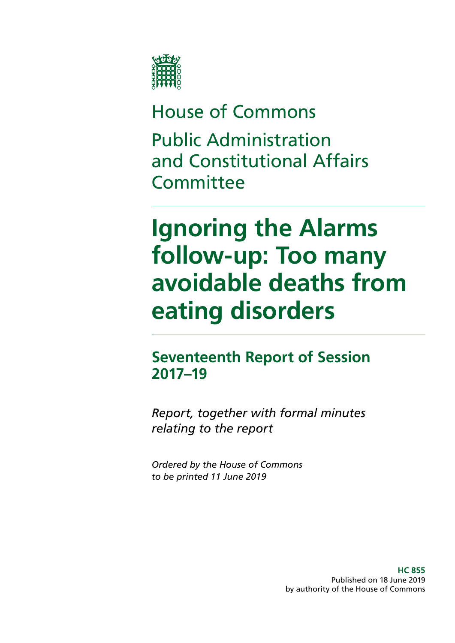

# House of Commons Public Administration and Constitutional Affairs **Committee**

# **Ignoring the Alarms follow-up: Too many avoidable deaths from eating disorders**

# **Seventeenth Report of Session 2017–19**

*Report, together with formal minutes relating to the report*

*Ordered by the House of Commons to be printed 11 June 2019*

> **HC 855** Published on 18 June 2019 by authority of the House of Commons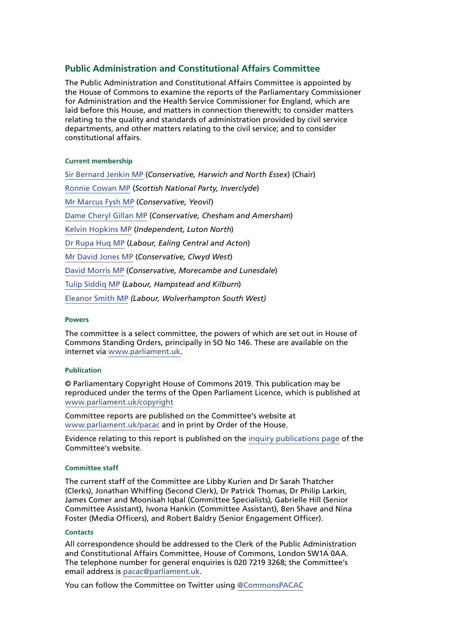### **Public Administration and Constitutional Affairs Committee**

The Public Administration and Constitutional Affairs Committee is appointed by the House of Commons to examine the reports of the Parliamentary Commissioner for Administration and the Health Service Commissioner for England, which are laid before this House, and matters in connection therewith; to consider matters relating to the quality and standards of administration provided by civil service departments, and other matters relating to the civil service; and to consider constitutional affairs.

#### **Current membership**

[Sir Bernard Jenkin MP](https://www.parliament.uk/biographies/commons/mr-bernard-jenkin/40) (*Conservative, Harwich and North Essex*) (Chair) [Ronnie Cowan MP](https://www.parliament.uk/biographies/commons/ronnie-cowan/4465) (*Scottish National Party, Inverclyde*) [Mr Marcus Fysh MP](https://www.parliament.uk/biographies/commons/mr-marcus-fysh/4446) (*Conservative, Yeovil*) [Dame Cheryl Gillan MP](https://www.parliament.uk/biographies/commons/mrs-cheryl-gillan/18) (*Conservative, Chesham and Amersham*) [Kelvin Hopkins MP](https://www.parliament.uk/biographies/commons/kelvin-hopkins/2) (*Independent, Luton North*) [Dr Rupa Huq MP](https://www.parliament.uk/biographies/commons/dr-rupa-huq/4511) (*Labour, Ealing Central and Acton*) [Mr David Jones MP](https://www.parliament.uk/biographies/commons/david-jones/1502) (*Conservative, Clwyd West*) [David Morris MP](https://www.parliament.uk/biographies/commons/david-morris/4135) (*Conservative, Morecambe and Lunesdale*) [Tulip Siddiq MP](https://www.parliament.uk/biographies/commons/tulip-siddiq/4518) (*Labour, Hampstead and Kilburn*) [Eleanor Smith MP](https://www.parliament.uk/biographies/commons/eleanor-smith/4609) *(Labour, Wolverhampton South West)*

#### **Powers**

The committee is a select committee, the powers of which are set out in House of Commons Standing Orders, principally in SO No 146. These are available on the internet via [www.parliament.uk](http://www.parliament.uk).

#### **Publication**

© Parliamentary Copyright House of Commons 2019. This publication may be reproduced under the terms of the Open Parliament Licence, which is published at [www.parliament.uk/copyright](http://www.parliament.uk/copyright)

Committee reports are published on the Committee's website at [www.parliament.uk/pacac](https://www.parliament.uk/business/committees/committees-a-z/commons-select/public-administration-and-constitutional-affairs-committee/) and in print by Order of the House.

Evidence relating to this report is published on the [inquiry publications page](https://www.parliament.uk/business/committees/committees-a-z/commons-select/public-administration-and-constitutional-affairs-committee/inquiries/parliament-2017/phso-ignoring-alarms-inquiry-17-19/publications/) of the Committee's website.

#### **Committee staff**

The current staff of the Committee are Libby Kurien and Dr Sarah Thatcher (Clerks), Jonathan Whiffing (Second Clerk), Dr Patrick Thomas, Dr Philip Larkin, James Comer and Moonisah Iqbal (Committee Specialists), Gabrielle Hill (Senior Committee Assistant), Iwona Hankin (Committee Assistant), Ben Shave and Nina Foster (Media Officers), and Robert Baldry (Senior Engagement Officer).

#### **Contacts**

All correspondence should be addressed to the Clerk of the Public Administration and Constitutional Affairs Committee, House of Commons, London SW1A 0AA. The telephone number for general enquiries is 020 7219 3268; the Committee's email address is [pacac@parliament.uk.](mailto:pacac%40parliament.uk?subject=)

You can follow the Committee on Twitter using [@CommonsPACAC](https://twitter.com/CommonsPACAC)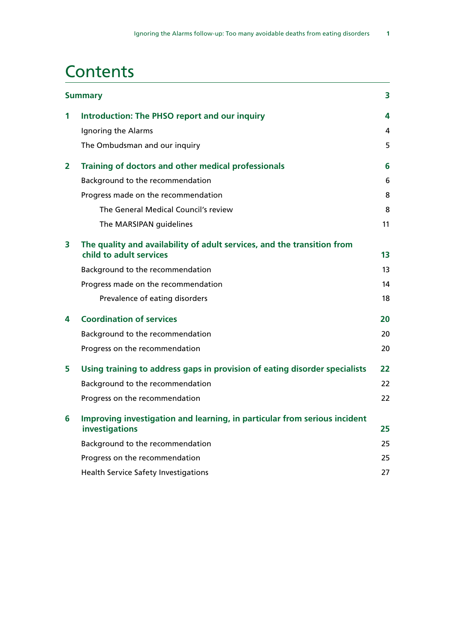# **Contents**

|   | <b>Summary</b>                                                                                     |    |
|---|----------------------------------------------------------------------------------------------------|----|
| 1 | <b>Introduction: The PHSO report and our inquiry</b>                                               | 4  |
|   | Ignoring the Alarms                                                                                | 4  |
|   | The Ombudsman and our inquiry                                                                      | 5  |
| 2 | Training of doctors and other medical professionals                                                | 6  |
|   | Background to the recommendation                                                                   | 6  |
|   | Progress made on the recommendation                                                                | 8  |
|   | The General Medical Council's review                                                               | 8  |
|   | The MARSIPAN guidelines                                                                            | 11 |
| 3 | The quality and availability of adult services, and the transition from<br>child to adult services | 13 |
|   | Background to the recommendation                                                                   | 13 |
|   | Progress made on the recommendation                                                                | 14 |
|   | Prevalence of eating disorders                                                                     | 18 |
| 4 | <b>Coordination of services</b>                                                                    | 20 |
|   | Background to the recommendation                                                                   | 20 |
|   | Progress on the recommendation                                                                     | 20 |
| 5 | Using training to address gaps in provision of eating disorder specialists                         | 22 |
|   | Background to the recommendation                                                                   | 22 |
|   | Progress on the recommendation                                                                     | 22 |
| 6 | Improving investigation and learning, in particular from serious incident<br>investigations        | 25 |
|   | Background to the recommendation                                                                   | 25 |
|   | Progress on the recommendation                                                                     | 25 |
|   | <b>Health Service Safety Investigations</b>                                                        | 27 |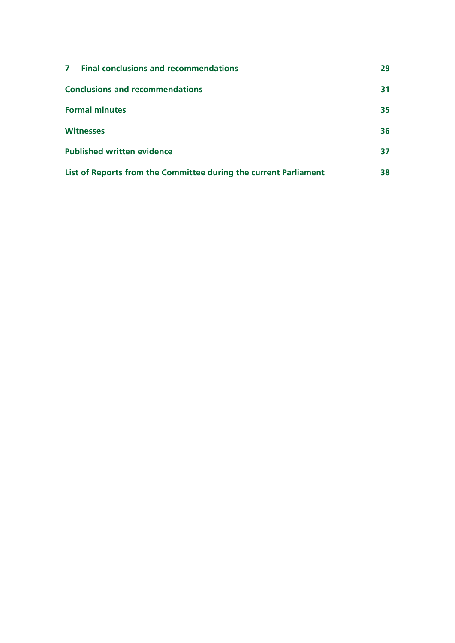| <b>Final conclusions and recommendations</b><br>$\mathbf{7}$     | 29 |
|------------------------------------------------------------------|----|
| <b>Conclusions and recommendations</b>                           | 31 |
| <b>Formal minutes</b>                                            | 35 |
| <b>Witnesses</b>                                                 | 36 |
| <b>Published written evidence</b>                                | 37 |
| List of Reports from the Committee during the current Parliament | 38 |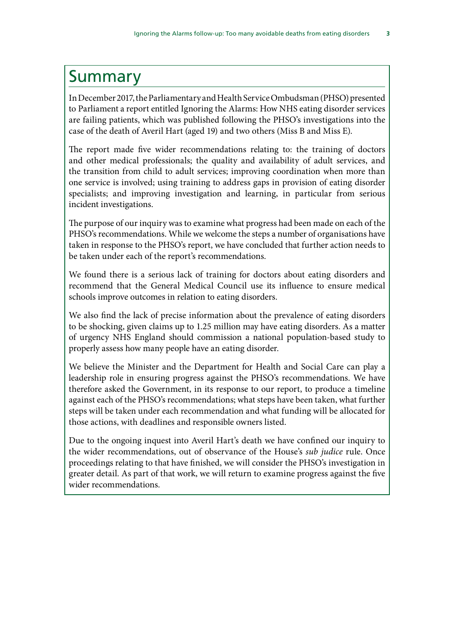# <span id="page-4-0"></span>Summary

In December 2017, the Parliamentary and Health Service Ombudsman (PHSO) presented to Parliament a report entitled Ignoring the Alarms: How NHS eating disorder services are failing patients, which was published following the PHSO's investigations into the case of the death of Averil Hart (aged 19) and two others (Miss B and Miss E).

The report made five wider recommendations relating to: the training of doctors and other medical professionals; the quality and availability of adult services, and the transition from child to adult services; improving coordination when more than one service is involved; using training to address gaps in provision of eating disorder specialists; and improving investigation and learning, in particular from serious incident investigations.

The purpose of our inquiry was to examine what progress had been made on each of the PHSO's recommendations. While we welcome the steps a number of organisations have taken in response to the PHSO's report, we have concluded that further action needs to be taken under each of the report's recommendations.

We found there is a serious lack of training for doctors about eating disorders and recommend that the General Medical Council use its influence to ensure medical schools improve outcomes in relation to eating disorders.

We also find the lack of precise information about the prevalence of eating disorders to be shocking, given claims up to 1.25 million may have eating disorders. As a matter of urgency NHS England should commission a national population-based study to properly assess how many people have an eating disorder.

We believe the Minister and the Department for Health and Social Care can play a leadership role in ensuring progress against the PHSO's recommendations. We have therefore asked the Government, in its response to our report, to produce a timeline against each of the PHSO's recommendations; what steps have been taken, what further steps will be taken under each recommendation and what funding will be allocated for those actions, with deadlines and responsible owners listed.

Due to the ongoing inquest into Averil Hart's death we have confined our inquiry to the wider recommendations, out of observance of the House's *sub judice* rule. Once proceedings relating to that have finished, we will consider the PHSO's investigation in greater detail. As part of that work, we will return to examine progress against the five wider recommendations.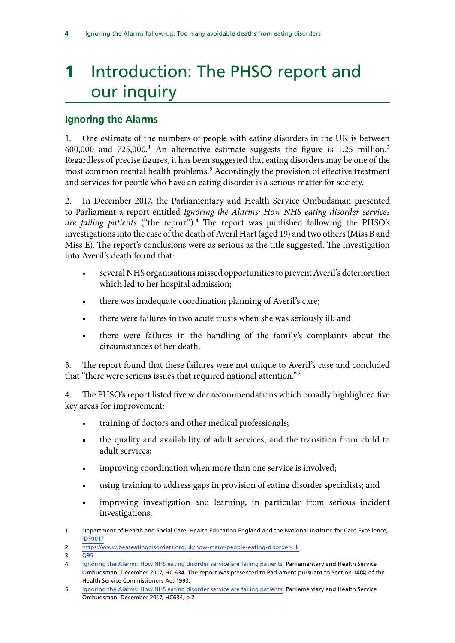# <span id="page-5-0"></span>**1** Introduction: The PHSO report and our inquiry

## **Ignoring the Alarms**

1. One estimate of the numbers of people with eating disorders in the UK is between  $600,000$  and  $725,000$ .<sup>1</sup> An alternative estimate suggests the figure is 1.25 million.<sup>2</sup> Regardless of precise figures, it has been suggested that eating disorders may be one of the most common mental health problems.<sup>3</sup> Accordingly the provision of effective treatment and services for people who have an eating disorder is a serious matter for society.

2. In December 2017, the Parliamentary and Health Service Ombudsman presented to Parliament a report entitled *Ignoring the Alarms: How NHS eating disorder services are failing patients* ("the report").4 The report was published following the PHSO's investigations into the case of the death of Averil Hart (aged 19) and two others (Miss B and Miss E). The report's conclusions were as serious as the title suggested. The investigation into Averil's death found that:

- several NHS organisations missed opportunities to prevent Averil's deterioration which led to her hospital admission;
- there was inadequate coordination planning of Averil's care;
- there were failures in two acute trusts when she was seriously ill; and
- there were failures in the handling of the family's complaints about the circumstances of her death.

3. The report found that these failures were not unique to Averil's case and concluded that "there were serious issues that required national attention."5

4. The PHSO's report listed five wider recommendations which broadly highlighted five key areas for improvement:

- training of doctors and other medical professionals;
- the quality and availability of adult services, and the transition from child to adult services;
- improving coordination when more than one service is involved;
- using training to address gaps in provision of eating disorder specialists; and
- improving investigation and learning, in particular from serious incident investigations.

<sup>1</sup> Department of Health and Social Care, Health Education England and the National Institute for Care Excellence, [IDF0017](http://data.parliament.uk/writtenevidence/committeeevidence.svc/evidencedocument/public-administration-and-constitutional-affairs-committee/phso-report-ignoring-the-alarms-how-nhs-eating-disorders-services-are-failing-patients/written/101725.pdf)

<sup>2</sup> <https://www.beateatingdisorders.org.uk/how-many-people-eating-disorder-uk>

 $\overline{3}$   $\overline{Q95}$  $\overline{Q95}$  $\overline{Q95}$ 

<sup>4</sup> [Ignoring the Alarms: How NHS eating disorder service are failing patients,](https://www.ombudsman.org.uk/sites/default/files/page/ACCESSIBILE%20PDF%20-%20Anorexia%20Report.pdf) Parliamentary and Health Service Ombudsman, December 2017, HC 634. The report was presented to Parliament pursuant to Section 14(4) of the Health Service Commissioners Act 1993.

<sup>5</sup> [Ignoring the Alarms: How NHS eating disorder service are failing patients,](https://www.ombudsman.org.uk/sites/default/files/page/ACCESSIBILE%20PDF%20-%20Anorexia%20Report.pdf) Parliamentary and Health Service Ombudsman, December 2017, HC634, p 2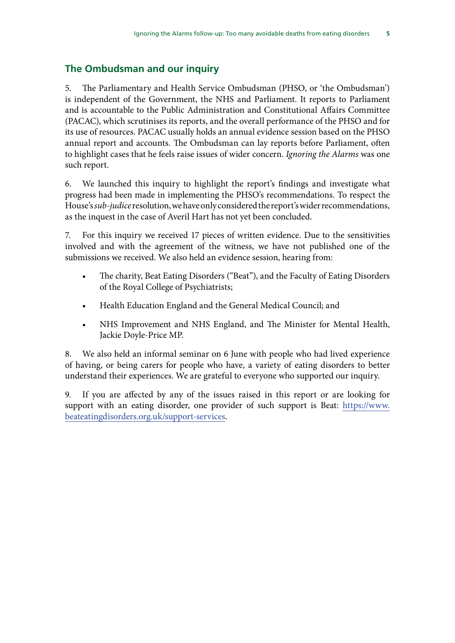## <span id="page-6-0"></span>**The Ombudsman and our inquiry**

5. The Parliamentary and Health Service Ombudsman (PHSO, or 'the Ombudsman') is independent of the Government, the NHS and Parliament. It reports to Parliament and is accountable to the Public Administration and Constitutional Affairs Committee (PACAC), which scrutinises its reports, and the overall performance of the PHSO and for its use of resources. PACAC usually holds an annual evidence session based on the PHSO annual report and accounts. The Ombudsman can lay reports before Parliament, often to highlight cases that he feels raise issues of wider concern. *Ignoring the Alarms* was one such report.

6. We launched this inquiry to highlight the report's findings and investigate what progress had been made in implementing the PHSO's recommendations. To respect the House's *sub-judice* resolution, we have only considered the report's wider recommendations, as the inquest in the case of Averil Hart has not yet been concluded.

7. For this inquiry we received 17 pieces of written evidence. Due to the sensitivities involved and with the agreement of the witness, we have not published one of the submissions we received. We also held an evidence session, hearing from:

- The charity, Beat Eating Disorders ("Beat"), and the Faculty of Eating Disorders of the Royal College of Psychiatrists;
- Health Education England and the General Medical Council; and
- NHS Improvement and NHS England, and The Minister for Mental Health, Jackie Doyle-Price MP.

8. We also held an informal seminar on 6 June with people who had lived experience of having, or being carers for people who have, a variety of eating disorders to better understand their experiences. We are grateful to everyone who supported our inquiry.

9. If you are affected by any of the issues raised in this report or are looking for support with an eating disorder, one provider of such support is Beat: [https://www.](https://www.beateatingdisorders.org.uk/support-services) [beateatingdisorders.org.uk/support-services.](https://www.beateatingdisorders.org.uk/support-services)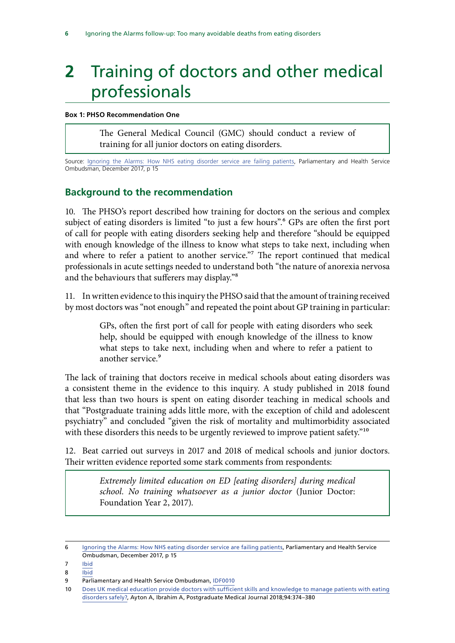# <span id="page-7-0"></span>**2** Training of doctors and other medical professionals

#### **Box 1: PHSO Recommendation One**

The General Medical Council (GMC) should conduct a review of training for all junior doctors on eating disorders.

Source: [Ignoring the Alarms: How NHS eating disorder service are failing patients,](https://www.ombudsman.org.uk/sites/default/files/page/ACCESSIBILE%20PDF%20-%20Anorexia%20Report.pdf) Parliamentary and Health Service Ombudsman, December 2017, p 15

### **Background to the recommendation**

10. The PHSO's report described how training for doctors on the serious and complex subject of eating disorders is limited "to just a few hours".<sup>6</sup> GPs are often the first port of call for people with eating disorders seeking help and therefore "should be equipped with enough knowledge of the illness to know what steps to take next, including when and where to refer a patient to another service."7 The report continued that medical professionals in acute settings needed to understand both "the nature of anorexia nervosa and the behaviours that sufferers may display."8

11. In written evidence to this inquiry the PHSO said that the amount of training received by most doctors was "not enough" and repeated the point about GP training in particular:

> GPs, often the first port of call for people with eating disorders who seek help, should be equipped with enough knowledge of the illness to know what steps to take next, including when and where to refer a patient to another service.<sup>9</sup>

The lack of training that doctors receive in medical schools about eating disorders was a consistent theme in the evidence to this inquiry. A study published in 2018 found that less than two hours is spent on eating disorder teaching in medical schools and that "Postgraduate training adds little more, with the exception of child and adolescent psychiatry" and concluded "given the risk of mortality and multimorbidity associated with these disorders this needs to be urgently reviewed to improve patient safety."<sup>10</sup>

12. Beat carried out surveys in 2017 and 2018 of medical schools and junior doctors. Their written evidence reported some stark comments from respondents:

> *Extremely limited education on ED [eating disorders] during medical school. No training whatsoever as a junior doctor* (Junior Doctor: Foundation Year 2, 2017).

- 7 [Ibid](https://www.ombudsman.org.uk/sites/default/files/page/ACCESSIBILE%20PDF%20-%20Anorexia%20Report.pdf)
- 8 [Ibid](https://hopuk.sharepoint.com/sites/hcc-PACAC/Papers/Medical%20professionals%20in)

<sup>6</sup> [Ignoring the Alarms: How NHS eating disorder service are failing patients,](https://www.ombudsman.org.uk/sites/default/files/page/ACCESSIBILE%20PDF%20-%20Anorexia%20Report.pdf) Parliamentary and Health Service Ombudsman, December 2017, p 15

<sup>9</sup> Parliamentary and Health Service Ombudsman, [IDF0010](http://data.parliament.uk/writtenevidence/committeeevidence.svc/evidencedocument/public-administration-and-constitutional-affairs-committee/phso-report-ignoring-the-alarms-how-nhs-eating-disorders-services-are-failing-patients/written/101322.pdf)

<sup>10</sup> [Does UK medical education provide doctors with sufficient skills and knowledge to manage patients with eating](https://pmj.bmj.com/content/94/1113/374.long)  [disorders safely?](https://pmj.bmj.com/content/94/1113/374.long), Ayton A, Ibrahim A, Postgraduate Medical Journal 2018;94:374–380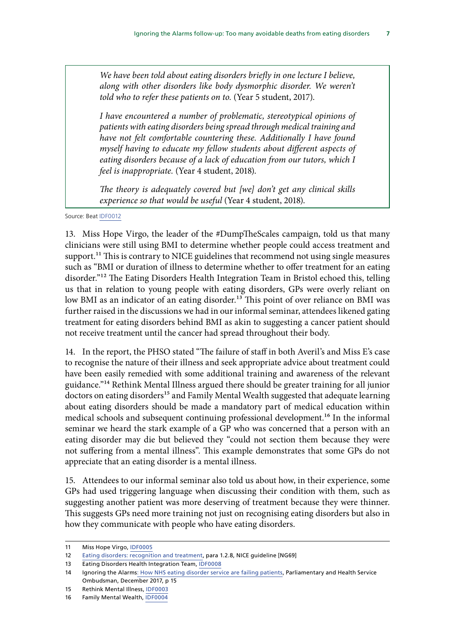*We have been told about eating disorders briefly in one lecture I believe, along with other disorders like body dysmorphic disorder. We weren't told who to refer these patients on to.* (Year 5 student, 2017).

*I have encountered a number of problematic, stereotypical opinions of patients with eating disorders being spread through medical training and have not felt comfortable countering these. Additionally I have found myself having to educate my fellow students about different aspects of eating disorders because of a lack of education from our tutors, which I feel is inappropriate.* (Year 4 student, 2018).

*The theory is adequately covered but [we] don't get any clinical skills experience so that would be useful* (Year 4 student, 2018).

Source: Beat [IDF0012](http://data.parliament.uk/writtenevidence/committeeevidence.svc/evidencedocument/public-administration-and-constitutional-affairs-committee/phso-report-ignoring-the-alarms-how-nhs-eating-disorders-services-are-failing-patients/written/101346.pdf)

13. Miss Hope Virgo, the leader of the #DumpTheScales campaign, told us that many clinicians were still using BMI to determine whether people could access treatment and support.<sup>11</sup> This is contrary to NICE guidelines that recommend not using single measures such as "BMI or duration of illness to determine whether to offer treatment for an eating disorder."12 The Eating Disorders Health Integration Team in Bristol echoed this, telling us that in relation to young people with eating disorders, GPs were overly reliant on low BMI as an indicator of an eating disorder.<sup>13</sup> This point of over reliance on BMI was further raised in the discussions we had in our informal seminar, attendees likened gating treatment for eating disorders behind BMI as akin to suggesting a cancer patient should not receive treatment until the cancer had spread throughout their body.

14. In the report, the PHSO stated "The failure of staff in both Averil's and Miss E's case to recognise the nature of their illness and seek appropriate advice about treatment could have been easily remedied with some additional training and awareness of the relevant guidance."14 Rethink Mental Illness argued there should be greater training for all junior doctors on eating disorders<sup>15</sup> and Family Mental Wealth suggested that adequate learning about eating disorders should be made a mandatory part of medical education within medical schools and subsequent continuing professional development.<sup>16</sup> In the informal seminar we heard the stark example of a GP who was concerned that a person with an eating disorder may die but believed they "could not section them because they were not suffering from a mental illness". This example demonstrates that some GPs do not appreciate that an eating disorder is a mental illness.

15. Attendees to our informal seminar also told us about how, in their experience, some GPs had used triggering language when discussing their condition with them, such as suggesting another patient was more deserving of treatment because they were thinner. This suggests GPs need more training not just on recognising eating disorders but also in how they communicate with people who have eating disorders.

<sup>11</sup> Miss Hope Virgo, [IDF0005](http://data.parliament.uk/writtenevidence/committeeevidence.svc/evidencedocument/public-administration-and-constitutional-affairs-committee/phso-report-ignoring-the-alarms-how-nhs-eating-disorders-services-are-failing-patients/written/100955.pdf)

<sup>12</sup> Eating disorders: recognition and treatment, para 1.2.8, NICE guideline [NG69]

<sup>13</sup> Eating Disorders Health Integration Team, [IDF0008](http://data.parliament.uk/writtenevidence/committeeevidence.svc/evidencedocument/public-administration-and-constitutional-affairs-committee/phso-report-ignoring-the-alarms-how-nhs-eating-disorders-services-are-failing-patients/written/101277.pdf)

<sup>14</sup> Ignoring the Alarm[s: How NHS eating disorder service are failing patients,](https://www.ombudsman.org.uk/sites/default/files/page/ACCESSIBILE%20PDF%20-%20Anorexia%20Report.pdf) Parliamentary and Health Service Ombudsman, December 2017, p 15

<sup>15</sup> Rethink Mental Illness, [IDF0003](http://data.parliament.uk/writtenevidence/committeeevidence.svc/evidencedocument/public-administration-and-constitutional-affairs-committee/phso-report-ignoring-the-alarms-how-nhs-eating-disorders-services-are-failing-patients/written/99768.pdf)

<sup>16</sup> Family Mental Wealth, [IDF0004](http://data.parliament.uk/writtenevidence/committeeevidence.svc/evidencedocument/public-administration-and-constitutional-affairs-committee/phso-report-ignoring-the-alarms-how-nhs-eating-disorders-services-are-failing-patients/written/100909.pdf)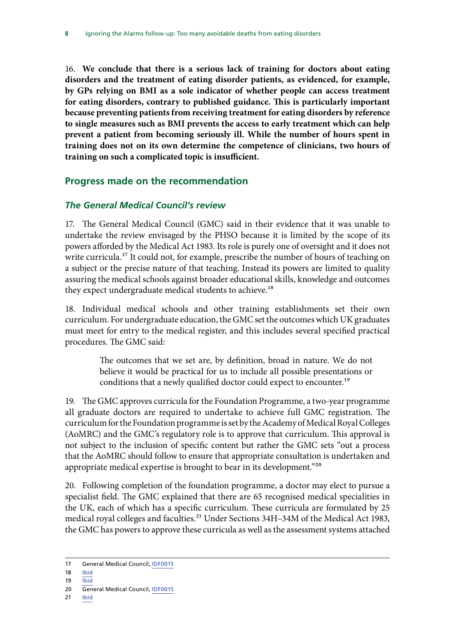<span id="page-9-0"></span>16. **We conclude that there is a serious lack of training for doctors about eating disorders and the treatment of eating disorder patients, as evidenced, for example, by GPs relying on BMI as a sole indicator of whether people can access treatment for eating disorders, contrary to published guidance. This is particularly important because preventing patients from receiving treatment for eating disorders by reference to single measures such as BMI prevents the access to early treatment which can help prevent a patient from becoming seriously ill. While the number of hours spent in training does not on its own determine the competence of clinicians, two hours of training on such a complicated topic is insufficient.**

### **Progress made on the recommendation**

#### *The General Medical Council's review*

17. The General Medical Council (GMC) said in their evidence that it was unable to undertake the review envisaged by the PHSO because it is limited by the scope of its powers afforded by the Medical Act 1983. Its role is purely one of oversight and it does not write curricula.<sup>17</sup> It could not, for example, prescribe the number of hours of teaching on a subject or the precise nature of that teaching. Instead its powers are limited to quality assuring the medical schools against broader educational skills, knowledge and outcomes they expect undergraduate medical students to achieve.<sup>18</sup>

18. Individual medical schools and other training establishments set their own curriculum. For undergraduate education, the GMC set the outcomes which UK graduates must meet for entry to the medical register, and this includes several specified practical procedures. The GMC said:

> The outcomes that we set are, by definition, broad in nature. We do not believe it would be practical for us to include all possible presentations or conditions that a newly qualified doctor could expect to encounter.<sup>19</sup>

19. The GMC approves curricula for the Foundation Programme, a two-year programme all graduate doctors are required to undertake to achieve full GMC registration. The curriculum for the Foundation programme is set by the Academy of Medical Royal Colleges (AoMRC) and the GMC's regulatory role is to approve that curriculum. This approval is not subject to the inclusion of specific content but rather the GMC sets "out a process that the AoMRC should follow to ensure that appropriate consultation is undertaken and appropriate medical expertise is brought to bear in its development."<sup>20</sup>

20. Following completion of the foundation programme, a doctor may elect to pursue a specialist field. The GMC explained that there are 65 recognised medical specialities in the UK, each of which has a specific curriculum. These curricula are formulated by 25 medical royal colleges and faculties.<sup>21</sup> Under Sections 34H-34M of the Medical Act 1983, the GMC has powers to approve these curricula as well as the assessment systems attached

- 18 [Ibid](http://data.parliament.uk/writtenevidence/committeeevidence.svc/evidencedocument/public-administration-and-constitutional-affairs-committee/phso-report-ignoring-the-alarms-how-nhs-eating-disorders-services-are-failing-patients/written/101523.pdf)
- 19 [Ibid](http://data.parliament.uk/writtenevidence/committeeevidence.svc/evidencedocument/public-administration-and-constitutional-affairs-committee/phso-report-ignoring-the-alarms-how-nhs-eating-disorders-services-are-failing-patients/written/101523.pdf)

21 [Ibid](http://data.parliament.uk/writtenevidence/committeeevidence.svc/evidencedocument/public-administration-and-constitutional-affairs-committee/phso-report-ignoring-the-alarms-how-nhs-eating-disorders-services-are-failing-patients/written/101523.pdf)

<sup>17</sup> General Medical Council, [IDF0015](http://data.parliament.uk/writtenevidence/committeeevidence.svc/evidencedocument/public-administration-and-constitutional-affairs-committee/phso-report-ignoring-the-alarms-how-nhs-eating-disorders-services-are-failing-patients/written/101523.pdf)

<sup>20</sup> General Medical Council, [IDF0015](http://data.parliament.uk/writtenevidence/committeeevidence.svc/evidencedocument/public-administration-and-constitutional-affairs-committee/phso-report-ignoring-the-alarms-how-nhs-eating-disorders-services-are-failing-patients/written/101523.pdf)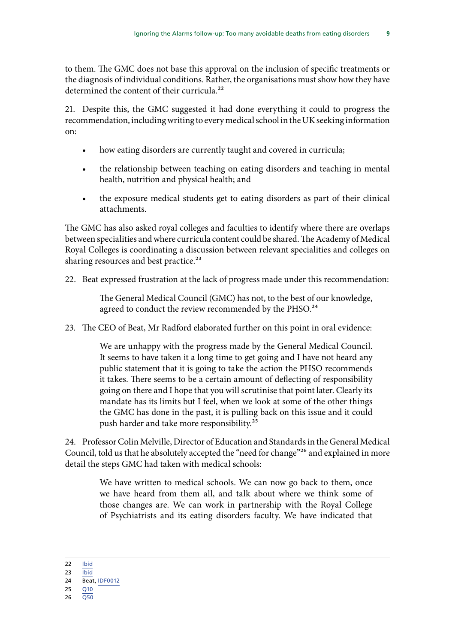to them. The GMC does not base this approval on the inclusion of specific treatments or the diagnosis of individual conditions. Rather, the organisations must show how they have determined the content of their curricula.<sup>22</sup>

21. Despite this, the GMC suggested it had done everything it could to progress the recommendation, including writing to every medical school in the UK seeking information on:

- how eating disorders are currently taught and covered in curricula;
- the relationship between teaching on eating disorders and teaching in mental health, nutrition and physical health; and
- the exposure medical students get to eating disorders as part of their clinical attachments.

The GMC has also asked royal colleges and faculties to identify where there are overlaps between specialities and where curricula content could be shared. The Academy of Medical Royal Colleges is coordinating a discussion between relevant specialities and colleges on sharing resources and best practice.<sup>23</sup>

22. Beat expressed frustration at the lack of progress made under this recommendation:

The General Medical Council (GMC) has not, to the best of our knowledge, agreed to conduct the review recommended by the PHSO.<sup>24</sup>

23. The CEO of Beat, Mr Radford elaborated further on this point in oral evidence:

We are unhappy with the progress made by the General Medical Council. It seems to have taken it a long time to get going and I have not heard any public statement that it is going to take the action the PHSO recommends it takes. There seems to be a certain amount of deflecting of responsibility going on there and I hope that you will scrutinise that point later. Clearly its mandate has its limits but I feel, when we look at some of the other things the GMC has done in the past, it is pulling back on this issue and it could push harder and take more responsibility.25

24. Professor Colin Melville, Director of Education and Standards in the General Medical Council, told us that he absolutely accepted the "need for change"26 and explained in more detail the steps GMC had taken with medical schools:

> We have written to medical schools. We can now go back to them, once we have heard from them all, and talk about where we think some of those changes are. We can work in partnership with the Royal College of Psychiatrists and its eating disorders faculty. We have indicated that

22 [Ibid](http://data.parliament.uk/writtenevidence/committeeevidence.svc/evidencedocument/public-administration-and-constitutional-affairs-committee/phso-report-ignoring-the-alarms-how-nhs-eating-disorders-services-are-failing-patients/written/101523.pdf)

 $23$  [Ibid](http://data.parliament.uk/writtenevidence/committeeevidence.svc/evidencedocument/public-administration-and-constitutional-affairs-committee/phso-report-ignoring-the-alarms-how-nhs-eating-disorders-services-are-failing-patients/written/101523.pdf)

<sup>24</sup> Beat, [IDF0012](http://data.parliament.uk/writtenevidence/committeeevidence.svc/evidencedocument/public-administration-and-constitutional-affairs-committee/phso-report-ignoring-the-alarms-how-nhs-eating-disorders-services-are-failing-patients/written/101346.pdf)

<sup>25</sup> [Q10](http://data.parliament.uk/writtenevidence/committeeevidence.svc/evidencedocument/public-administration-and-constitutional-affairs-committee/phso-report-ignoring-the-alarms-how-nhs-eating-disorders-services-are-failing-patients/oral/102194.pdf)

<sup>26</sup> [Q50](http://data.parliament.uk/writtenevidence/committeeevidence.svc/evidencedocument/public-administration-and-constitutional-affairs-committee/phso-report-ignoring-the-alarms-how-nhs-eating-disorders-services-are-failing-patients/oral/102194.pdf)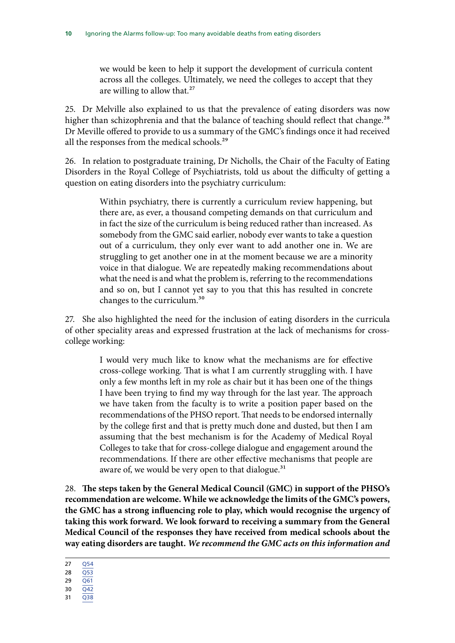we would be keen to help it support the development of curricula content across all the colleges. Ultimately, we need the colleges to accept that they are willing to allow that.<sup>27</sup>

25. Dr Melville also explained to us that the prevalence of eating disorders was now higher than schizophrenia and that the balance of teaching should reflect that change.<sup>28</sup> Dr Meville offered to provide to us a summary of the GMC's findings once it had received all the responses from the medical schools.<sup>29</sup>

26. In relation to postgraduate training, Dr Nicholls, the Chair of the Faculty of Eating Disorders in the Royal College of Psychiatrists, told us about the difficulty of getting a question on eating disorders into the psychiatry curriculum:

> Within psychiatry, there is currently a curriculum review happening, but there are, as ever, a thousand competing demands on that curriculum and in fact the size of the curriculum is being reduced rather than increased. As somebody from the GMC said earlier, nobody ever wants to take a question out of a curriculum, they only ever want to add another one in. We are struggling to get another one in at the moment because we are a minority voice in that dialogue. We are repeatedly making recommendations about what the need is and what the problem is, referring to the recommendations and so on, but I cannot yet say to you that this has resulted in concrete changes to the curriculum.30

27. She also highlighted the need for the inclusion of eating disorders in the curricula of other speciality areas and expressed frustration at the lack of mechanisms for crosscollege working:

> I would very much like to know what the mechanisms are for effective cross-college working. That is what I am currently struggling with. I have only a few months left in my role as chair but it has been one of the things I have been trying to find my way through for the last year. The approach we have taken from the faculty is to write a position paper based on the recommendations of the PHSO report. That needs to be endorsed internally by the college first and that is pretty much done and dusted, but then I am assuming that the best mechanism is for the Academy of Medical Royal Colleges to take that for cross-college dialogue and engagement around the recommendations. If there are other effective mechanisms that people are aware of, we would be very open to that dialogue.<sup>31</sup>

28. **The steps taken by the General Medical Council (GMC) in support of the PHSO's recommendation are welcome. While we acknowledge the limits of the GMC's powers, the GMC has a strong influencing role to play, which would recognise the urgency of taking this work forward. We look forward to receiving a summary from the General Medical Council of the responses they have received from medical schools about the way eating disorders are taught.** *We recommend the GMC acts on this information and* 

- 29 [Q61](http://data.parliament.uk/writtenevidence/committeeevidence.svc/evidencedocument/public-administration-and-constitutional-affairs-committee/phso-report-ignoring-the-alarms-how-nhs-eating-disorders-services-are-failing-patients/oral/102194.pdf) 30 [Q42](http://data.parliament.uk/writtenevidence/committeeevidence.svc/evidencedocument/public-administration-and-constitutional-affairs-committee/phso-report-ignoring-the-alarms-how-nhs-eating-disorders-services-are-failing-patients/oral/102194.pdf)
- 31 [Q38](http://data.parliament.uk/writtenevidence/committeeevidence.svc/evidencedocument/public-administration-and-constitutional-affairs-committee/phso-report-ignoring-the-alarms-how-nhs-eating-disorders-services-are-failing-patients/oral/102194.pdf)

<sup>27</sup> [Q54](http://data.parliament.uk/writtenevidence/committeeevidence.svc/evidencedocument/public-administration-and-constitutional-affairs-committee/phso-report-ignoring-the-alarms-how-nhs-eating-disorders-services-are-failing-patients/oral/102194.pdf)

<sup>28</sup>  $\overline{O53}$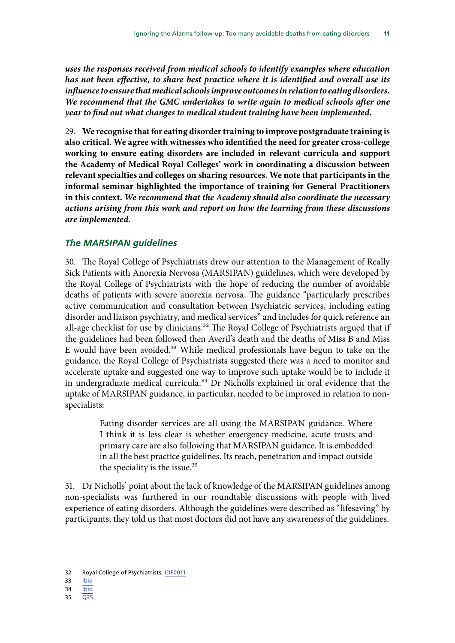<span id="page-12-0"></span>*uses the responses received from medical schools to identify examples where education has not been effective, to share best practice where it is identified and overall use its influence to ensure that medical schools improve outcomes in relation to eating disorders. We recommend that the GMC undertakes to write again to medical schools after one year to find out what changes to medical student training have been implemented.*

29. **We recognise that for eating disorder training to improve postgraduate training is also critical. We agree with witnesses who identified the need for greater cross-college working to ensure eating disorders are included in relevant curricula and support the Academy of Medical Royal Colleges' work in coordinating a discussion between relevant specialties and colleges on sharing resources. We note that participants in the informal seminar highlighted the importance of training for General Practitioners in this context.** *We recommend that the Academy should also coordinate the necessary actions arising from this work and report on how the learning from these discussions are implemented.*

#### *The MARSIPAN guidelines*

30. The Royal College of Psychiatrists drew our attention to the Management of Really Sick Patients with Anorexia Nervosa (MARSIPAN) guidelines, which were developed by the Royal College of Psychiatrists with the hope of reducing the number of avoidable deaths of patients with severe anorexia nervosa. The guidance "particularly prescribes active communication and consultation between Psychiatric services, including eating disorder and liaison psychiatry, and medical services" and includes for quick reference an all-age checklist for use by clinicians.<sup>32</sup> The Royal College of Psychiatrists argued that if the guidelines had been followed then Averil's death and the deaths of Miss B and Miss E would have been avoided.<sup>33</sup> While medical professionals have begun to take on the guidance, the Royal College of Psychiatrists suggested there was a need to monitor and accelerate uptake and suggested one way to improve such uptake would be to include it in undergraduate medical curricula.<sup>34</sup> Dr Nicholls explained in oral evidence that the uptake of MARSIPAN guidance, in particular, needed to be improved in relation to nonspecialists:

> Eating disorder services are all using the MARSIPAN guidance. Where I think it is less clear is whether emergency medicine, acute trusts and primary care are also following that MARSIPAN guidance. It is embedded in all the best practice guidelines. Its reach, penetration and impact outside the speciality is the issue.<sup>35</sup>

31. Dr Nicholls' point about the lack of knowledge of the MARSIPAN guidelines among non-specialists was furthered in our roundtable discussions with people with lived experience of eating disorders. Although the guidelines were described as "lifesaving" by participants, they told us that most doctors did not have any awareness of the guidelines.

- 34 [Ibid](http://data.parliament.uk/writtenevidence/committeeevidence.svc/evidencedocument/public-administration-and-constitutional-affairs-committee/phso-report-ignoring-the-alarms-how-nhs-eating-disorders-services-are-failing-patients/written/101324.pdf)
- 35 [Q35](http://data.parliament.uk/writtenevidence/committeeevidence.svc/evidencedocument/public-administration-and-constitutional-affairs-committee/phso-report-ignoring-the-alarms-how-nhs-eating-disorders-services-are-failing-patients/oral/102194.pdf)

<sup>32</sup> Royal College of Psychiatrists, [IDF0011](http://data.parliament.uk/writtenevidence/committeeevidence.svc/evidencedocument/public-administration-and-constitutional-affairs-committee/phso-report-ignoring-the-alarms-how-nhs-eating-disorders-services-are-failing-patients/written/101324.pdf)

<sup>33</sup> [Ibid](http://data.parliament.uk/writtenevidence/committeeevidence.svc/evidencedocument/public-administration-and-constitutional-affairs-committee/phso-report-ignoring-the-alarms-how-nhs-eating-disorders-services-are-failing-patients/written/101324.pdf)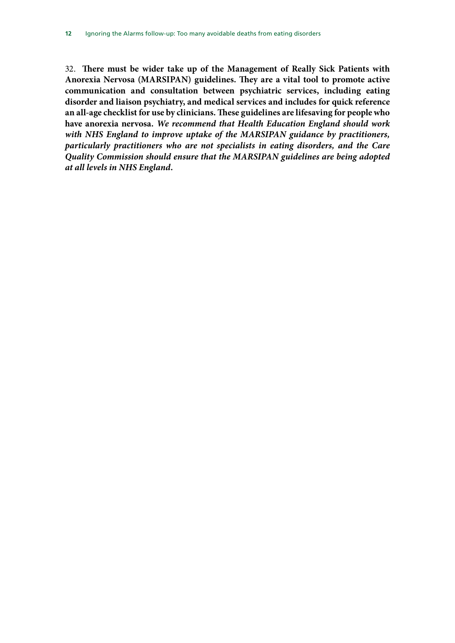32. **There must be wider take up of the Management of Really Sick Patients with Anorexia Nervosa (MARSIPAN) guidelines. They are a vital tool to promote active communication and consultation between psychiatric services, including eating disorder and liaison psychiatry, and medical services and includes for quick reference an all-age checklist for use by clinicians. These guidelines are lifesaving for people who have anorexia nervosa.** *We recommend that Health Education England should work with NHS England to improve uptake of the MARSIPAN guidance by practitioners, particularly practitioners who are not specialists in eating disorders, and the Care Quality Commission should ensure that the MARSIPAN guidelines are being adopted at all levels in NHS England.*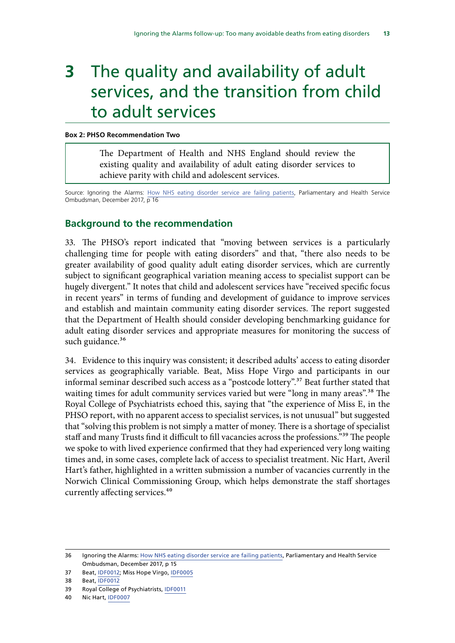# <span id="page-14-0"></span>**3** The quality and availability of adult services, and the transition from child to adult services

#### **Box 2: PHSO Recommendation Two**

The Department of Health and NHS England should review the existing quality and availability of adult eating disorder services to achieve parity with child and adolescent services.

Source: Ignoring the Alarms: [How NHS eating disorder service are failing patients,](https://www.ombudsman.org.uk/sites/default/files/page/ACCESSIBILE%20PDF%20-%20Anorexia%20Report.pdf) Parliamentary and Health Service Ombudsman, December 2017, p 16

#### **Background to the recommendation**

33. The PHSO's report indicated that "moving between services is a particularly challenging time for people with eating disorders" and that, "there also needs to be greater availability of good quality adult eating disorder services, which are currently subject to significant geographical variation meaning access to specialist support can be hugely divergent." It notes that child and adolescent services have "received specific focus in recent years" in terms of funding and development of guidance to improve services and establish and maintain community eating disorder services. The report suggested that the Department of Health should consider developing benchmarking guidance for adult eating disorder services and appropriate measures for monitoring the success of such guidance.<sup>36</sup>

34. Evidence to this inquiry was consistent; it described adults' access to eating disorder services as geographically variable. Beat, Miss Hope Virgo and participants in our informal seminar described such access as a "postcode lottery".<sup>37</sup> Beat further stated that waiting times for adult community services varied but were "long in many areas".<sup>38</sup> The Royal College of Psychiatrists echoed this, saying that "the experience of Miss E, in the PHSO report, with no apparent access to specialist services, is not unusual" but suggested that "solving this problem is not simply a matter of money. There is a shortage of specialist staff and many Trusts find it difficult to fill vacancies across the professions."39 The people we spoke to with lived experience confirmed that they had experienced very long waiting times and, in some cases, complete lack of access to specialist treatment. Nic Hart, Averil Hart's father, highlighted in a written submission a number of vacancies currently in the Norwich Clinical Commissioning Group, which helps demonstrate the staff shortages currently affecting services.<sup>40</sup>

40 Nic Hart, [IDF0007](http://data.parliament.uk/writtenevidence/committeeevidence.svc/evidencedocument/public-administration-and-constitutional-affairs-committee/phso-report-ignoring-the-alarms-how-nhs-eating-disorders-services-are-failing-patients/written/101262.pdf)

<sup>36</sup> Ignoring the Alarms: [How NHS eating disorder service are failing patients,](https://www.ombudsman.org.uk/sites/default/files/page/ACCESSIBILE%20PDF%20-%20Anorexia%20Report.pdf) Parliamentary and Health Service Ombudsman, December 2017, p 15

<sup>37</sup> Beat, [IDF0012;](http://data.parliament.uk/writtenevidence/committeeevidence.svc/evidencedocument/public-administration-and-constitutional-affairs-committee/phso-report-ignoring-the-alarms-how-nhs-eating-disorders-services-are-failing-patients/written/101346.pdf) Miss Hope Virgo, [IDF0005](http://data.parliament.uk/writtenevidence/committeeevidence.svc/evidencedocument/public-administration-and-constitutional-affairs-committee/phso-report-ignoring-the-alarms-how-nhs-eating-disorders-services-are-failing-patients/written/100955.pdf)

<sup>38</sup> Beat, [IDF0012](http://data.parliament.uk/writtenevidence/committeeevidence.svc/evidencedocument/public-administration-and-constitutional-affairs-committee/phso-report-ignoring-the-alarms-how-nhs-eating-disorders-services-are-failing-patients/written/101346.pdf)

<sup>39</sup> Royal College of Psychiatrists, [IDF0011](http://data.parliament.uk/writtenevidence/committeeevidence.svc/evidencedocument/public-administration-and-constitutional-affairs-committee/phso-report-ignoring-the-alarms-how-nhs-eating-disorders-services-are-failing-patients/written/101324.pdf)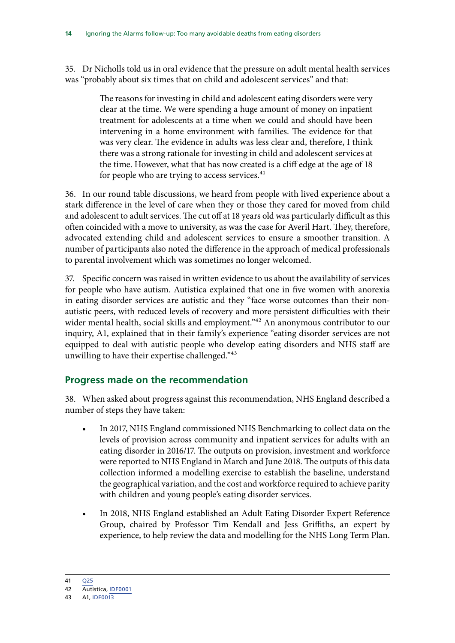<span id="page-15-0"></span>35. Dr Nicholls told us in oral evidence that the pressure on adult mental health services was "probably about six times that on child and adolescent services" and that:

> The reasons for investing in child and adolescent eating disorders were very clear at the time. We were spending a huge amount of money on inpatient treatment for adolescents at a time when we could and should have been intervening in a home environment with families. The evidence for that was very clear. The evidence in adults was less clear and, therefore, I think there was a strong rationale for investing in child and adolescent services at the time. However, what that has now created is a cliff edge at the age of 18 for people who are trying to access services.<sup>41</sup>

36. In our round table discussions, we heard from people with lived experience about a stark difference in the level of care when they or those they cared for moved from child and adolescent to adult services. The cut off at 18 years old was particularly difficult as this often coincided with a move to university, as was the case for Averil Hart. They, therefore, advocated extending child and adolescent services to ensure a smoother transition. A number of participants also noted the difference in the approach of medical professionals to parental involvement which was sometimes no longer welcomed.

37. Specific concern was raised in written evidence to us about the availability of services for people who have autism. Autistica explained that one in five women with anorexia in eating disorder services are autistic and they "face worse outcomes than their nonautistic peers, with reduced levels of recovery and more persistent difficulties with their wider mental health, social skills and employment."<sup>42</sup> An anonymous contributor to our inquiry, A1, explained that in their family's experience "eating disorder services are not equipped to deal with autistic people who develop eating disorders and NHS staff are unwilling to have their expertise challenged."43

### **Progress made on the recommendation**

38. When asked about progress against this recommendation, NHS England described a number of steps they have taken:

- In 2017, NHS England commissioned NHS Benchmarking to collect data on the levels of provision across community and inpatient services for adults with an eating disorder in 2016/17. The outputs on provision, investment and workforce were reported to NHS England in March and June 2018. The outputs of this data collection informed a modelling exercise to establish the baseline, understand the geographical variation, and the cost and workforce required to achieve parity with children and young people's eating disorder services.
- In 2018, NHS England established an Adult Eating Disorder Expert Reference Group, chaired by Professor Tim Kendall and Jess Griffiths, an expert by experience, to help review the data and modelling for the NHS Long Term Plan.

41 [Q25](http://data.parliament.uk/writtenevidence/committeeevidence.svc/evidencedocument/public-administration-and-constitutional-affairs-committee/phso-report-ignoring-the-alarms-how-nhs-eating-disorders-services-are-failing-patients/oral/102194.pdf)

<sup>42</sup> Autistica, [IDF0001](http://data.parliament.uk/writtenevidence/committeeevidence.svc/evidencedocument/public-administration-and-constitutional-affairs-committee/phso-report-ignoring-the-alarms-how-nhs-eating-disorders-services-are-failing-patients/written/99516.pdf)

<sup>43</sup> A1, [IDF0013](http://data.parliament.uk/writtenevidence/committeeevidence.svc/evidencedocument/public-administration-and-constitutional-affairs-committee/phso-report-ignoring-the-alarms-how-nhs-eating-disorders-services-are-failing-patients/written/101384.pdf)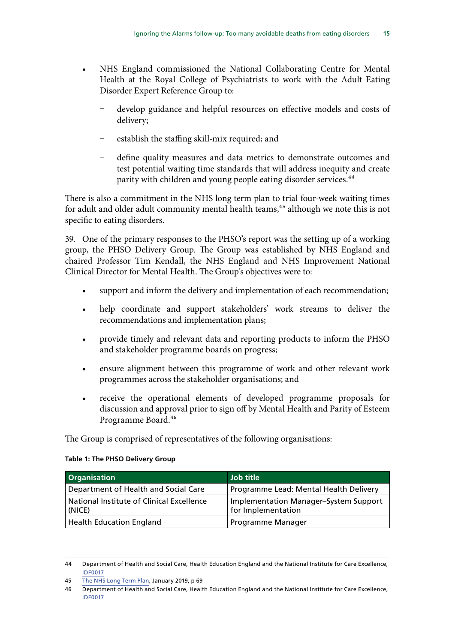- NHS England commissioned the National Collaborating Centre for Mental Health at the Royal College of Psychiatrists to work with the Adult Eating Disorder Expert Reference Group to:
	- develop guidance and helpful resources on effective models and costs of delivery;
	- establish the staffing skill-mix required; and
	- define quality measures and data metrics to demonstrate outcomes and test potential waiting time standards that will address inequity and create parity with children and young people eating disorder services.<sup>44</sup>

There is also a commitment in the NHS long term plan to trial four-week waiting times for adult and older adult community mental health teams,<sup>45</sup> although we note this is not specific to eating disorders.

39. One of the primary responses to the PHSO's report was the setting up of a working group, the PHSO Delivery Group. The Group was established by NHS England and chaired Professor Tim Kendall, the NHS England and NHS Improvement National Clinical Director for Mental Health. The Group's objectives were to:

- support and inform the delivery and implementation of each recommendation;
- help coordinate and support stakeholders' work streams to deliver the recommendations and implementation plans;
- provide timely and relevant data and reporting products to inform the PHSO and stakeholder programme boards on progress;
- ensure alignment between this programme of work and other relevant work programmes across the stakeholder organisations; and
- receive the operational elements of developed programme proposals for discussion and approval prior to sign off by Mental Health and Parity of Esteem Programme Board.46

The Group is comprised of representatives of the following organisations:

#### **Table 1: The PHSO Delivery Group**

| <b>Organisation</b>                                 | <b>Job title</b>                                            |
|-----------------------------------------------------|-------------------------------------------------------------|
| Department of Health and Social Care                | Programme Lead: Mental Health Delivery                      |
| National Institute of Clinical Excellence<br>(NICE) | Implementation Manager-System Support<br>for Implementation |
| <b>Health Education England</b>                     | Programme Manager                                           |

<sup>44</sup> Department of Health and Social Care, Health Education England and the National Institute for Care Excellence, [IDF0017](http://data.parliament.uk/writtenevidence/committeeevidence.svc/evidencedocument/public-administration-and-constitutional-affairs-committee/phso-report-ignoring-the-alarms-how-nhs-eating-disorders-services-are-failing-patients/written/101725.pdf)

<sup>45</sup> [The NHS Long Term Plan](https://www.longtermplan.nhs.uk/wp-content/uploads/2019/01/nhs-long-term-plan.pdf), January 2019, p 69

<sup>46</sup> Department of Health and Social Care, Health Education England and the National Institute for Care Excellence, [IDF0017](http://data.parliament.uk/writtenevidence/committeeevidence.svc/evidencedocument/public-administration-and-constitutional-affairs-committee/phso-report-ignoring-the-alarms-how-nhs-eating-disorders-services-are-failing-patients/written/101725.pdf)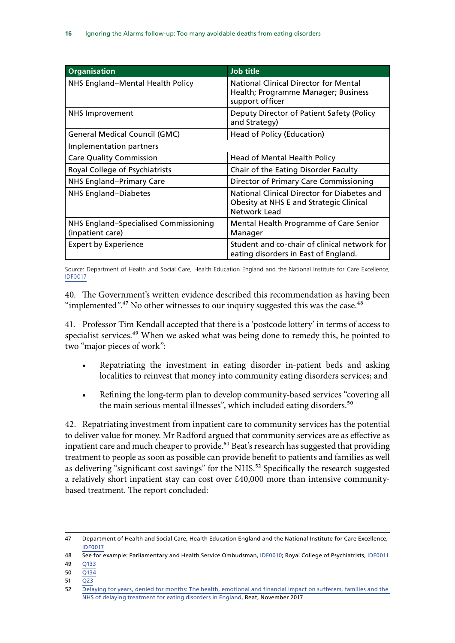| <b>Organisation</b>                                       | <b>Job title</b>                                                                                              |
|-----------------------------------------------------------|---------------------------------------------------------------------------------------------------------------|
| NHS England-Mental Health Policy                          | <b>National Clinical Director for Mental</b><br>Health; Programme Manager; Business<br>support officer        |
| NHS Improvement                                           | Deputy Director of Patient Safety (Policy<br>and Strategy)                                                    |
| General Medical Council (GMC)                             | Head of Policy (Education)                                                                                    |
| Implementation partners                                   |                                                                                                               |
| <b>Care Quality Commission</b>                            | Head of Mental Health Policy                                                                                  |
| Royal College of Psychiatrists                            | Chair of the Eating Disorder Faculty                                                                          |
| <b>NHS England-Primary Care</b>                           | Director of Primary Care Commissioning                                                                        |
| <b>NHS England-Diabetes</b>                               | National Clinical Director for Diabetes and<br><b>Obesity at NHS E and Strategic Clinical</b><br>Network Lead |
| NHS England-Specialised Commissioning<br>(inpatient care) | Mental Health Programme of Care Senior<br>Manager                                                             |
| <b>Expert by Experience</b>                               | Student and co-chair of clinical network for<br>eating disorders in East of England.                          |

Source: Department of Health and Social Care, Health Education England and the National Institute for Care Excellence, [IDF0017](http://data.parliament.uk/writtenevidence/committeeevidence.svc/evidencedocument/public-administration-and-constitutional-affairs-committee/phso-report-ignoring-the-alarms-how-nhs-eating-disorders-services-are-failing-patients/written/101725.pdf)

40. The Government's written evidence described this recommendation as having been "implemented".<sup>47</sup> No other witnesses to our inquiry suggested this was the case.<sup>48</sup>

41. Professor Tim Kendall accepted that there is a 'postcode lottery' in terms of access to specialist services.<sup>49</sup> When we asked what was being done to remedy this, he pointed to two "major pieces of work":

- Repatriating the investment in eating disorder in-patient beds and asking localities to reinvest that money into community eating disorders services; and
- Refining the long-term plan to develop community-based services "covering all the main serious mental illnesses", which included eating disorders.<sup>50</sup>

42. Repatriating investment from inpatient care to community services has the potential to deliver value for money. Mr Radford argued that community services are as effective as inpatient care and much cheaper to provide.<sup>51</sup> Beat's research has suggested that providing treatment to people as soon as possible can provide benefit to patients and families as well as delivering "significant cost savings" for the NHS.<sup>52</sup> Specifically the research suggested a relatively short inpatient stay can cost over £40,000 more than intensive communitybased treatment. The report concluded:

- 49 [Q133](http://data.parliament.uk/writtenevidence/committeeevidence.svc/evidencedocument/public-administration-and-constitutional-affairs-committee/phso-report-ignoring-the-alarms-how-nhs-eating-disorders-services-are-failing-patients/oral/102194.pdf)
- 50 [Q134](http://data.parliament.uk/writtenevidence/committeeevidence.svc/evidencedocument/public-administration-and-constitutional-affairs-committee/phso-report-ignoring-the-alarms-how-nhs-eating-disorders-services-are-failing-patients/oral/102194.pdf)
- 51 [Q23](http://data.parliament.uk/writtenevidence/committeeevidence.svc/evidencedocument/public-administration-and-constitutional-affairs-committee/phso-report-ignoring-the-alarms-how-nhs-eating-disorders-services-are-failing-patients/oral/102194.pdf)

<sup>47</sup> Department of Health and Social Care, Health Education England and the National Institute for Care Excellence, [IDF0017](http://data.parliament.uk/writtenevidence/committeeevidence.svc/evidencedocument/public-administration-and-constitutional-affairs-committee/phso-report-ignoring-the-alarms-how-nhs-eating-disorders-services-are-failing-patients/written/101725.pdf)

<sup>48</sup> See for example: Parliamentary and Health Service Ombudsman, [IDF0010](http://data.parliament.uk/writtenevidence/committeeevidence.svc/evidencedocument/public-administration-and-constitutional-affairs-committee/phso-report-ignoring-the-alarms-how-nhs-eating-disorders-services-are-failing-patients/written/101725.pdf); Royal College of Psychiatrists, [IDF0011](http://data.parliament.uk/writtenevidence/committeeevidence.svc/evidencedocument/public-administration-and-constitutional-affairs-committee/phso-report-ignoring-the-alarms-how-nhs-eating-disorders-services-are-failing-patients/written/101324.pdf)

<sup>52</sup> [Delaying for years, denied for months: The health, emotional and financial impact on sufferers, families and the](https://www.beateatingdisorders.org.uk/uploads/documents/2017/11/delaying-for-years-denied-for-months.pdf)  [NHS of delaying treatment for eating disorders in England](https://www.beateatingdisorders.org.uk/uploads/documents/2017/11/delaying-for-years-denied-for-months.pdf), Beat, November 2017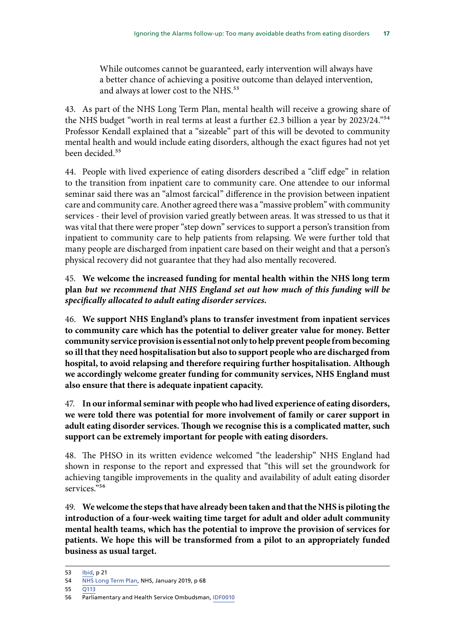While outcomes cannot be guaranteed, early intervention will always have a better chance of achieving a positive outcome than delayed intervention, and always at lower cost to the NHS.<sup>53</sup>

43. As part of the NHS Long Term Plan, mental health will receive a growing share of the NHS budget "worth in real terms at least a further £2.3 billion a year by 2023/24."<sup>54</sup> Professor Kendall explained that a "sizeable" part of this will be devoted to community mental health and would include eating disorders, although the exact figures had not yet been decided.<sup>55</sup>

44. People with lived experience of eating disorders described a "cliff edge" in relation to the transition from inpatient care to community care. One attendee to our informal seminar said there was an "almost farcical" difference in the provision between inpatient care and community care. Another agreed there was a "massive problem" with community services - their level of provision varied greatly between areas. It was stressed to us that it was vital that there were proper "step down" services to support a person's transition from inpatient to community care to help patients from relapsing. We were further told that many people are discharged from inpatient care based on their weight and that a person's physical recovery did not guarantee that they had also mentally recovered.

45. **We welcome the increased funding for mental health within the NHS long term plan** *but we recommend that NHS England set out how much of this funding will be specifically allocated to adult eating disorder services***.**

46. **We support NHS England's plans to transfer investment from inpatient services to community care which has the potential to deliver greater value for money. Better community service provision is essential not only to help prevent people from becoming so ill that they need hospitalisation but also to support people who are discharged from hospital, to avoid relapsing and therefore requiring further hospitalisation. Although we accordingly welcome greater funding for community services, NHS England must also ensure that there is adequate inpatient capacity.**

47. **In our informal seminar with people who had lived experience of eating disorders, we were told there was potential for more involvement of family or carer support in adult eating disorder services. Though we recognise this is a complicated matter, such support can be extremely important for people with eating disorders.**

48. The PHSO in its written evidence welcomed "the leadership" NHS England had shown in response to the report and expressed that "this will set the groundwork for achieving tangible improvements in the quality and availability of adult eating disorder services."<sup>56</sup>

49. **We welcome the steps that have already been taken and that the NHS is piloting the introduction of a four-week waiting time target for adult and older adult community mental health teams, which has the potential to improve the provision of services for patients. We hope this will be transformed from a pilot to an appropriately funded business as usual target.**

55 [Q113](http://data.parliament.uk/writtenevidence/committeeevidence.svc/evidencedocument/public-administration-and-constitutional-affairs-committee/phso-report-ignoring-the-alarms-how-nhs-eating-disorders-services-are-failing-patients/oral/102194.pdf)

<sup>53</sup> [Ibid,](https://www.beateatingdisorders.org.uk/uploads/documents/2017/11/delaying-for-years-denied-for-months.pdf) p 21

<sup>54</sup> [NHS Long Term Plan,](https://www.longtermplan.nhs.uk/wp-content/uploads/2019/01/nhs-long-term-plan.pdf) NHS, January 2019, p 68

<sup>56</sup> Parliamentary and Health Service Ombudsman, [IDF0010](http://data.parliament.uk/writtenevidence/committeeevidence.svc/evidencedocument/public-administration-and-constitutional-affairs-committee/phso-report-ignoring-the-alarms-how-nhs-eating-disorders-services-are-failing-patients/written/101322.pdf)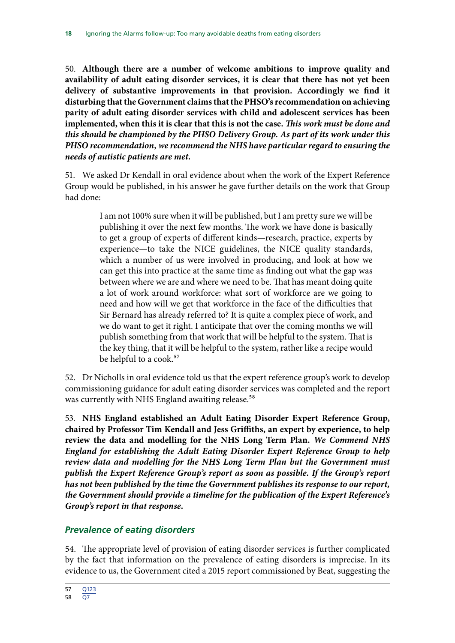<span id="page-19-0"></span>50. **Although there are a number of welcome ambitions to improve quality and availability of adult eating disorder services, it is clear that there has not yet been delivery of substantive improvements in that provision. Accordingly we find it disturbing that the Government claims that the PHSO's recommendation on achieving parity of adult eating disorder services with child and adolescent services has been implemented, when this it is clear that this is not the case.** *This work must be done and this should be championed by the PHSO Delivery Group. As part of its work under this PHSO recommendation, we recommend the NHS have particular regard to ensuring the needs of autistic patients are met.*

51. We asked Dr Kendall in oral evidence about when the work of the Expert Reference Group would be published, in his answer he gave further details on the work that Group had done:

> I am not 100% sure when it will be published, but I am pretty sure we will be publishing it over the next few months. The work we have done is basically to get a group of experts of different kinds—research, practice, experts by experience—to take the NICE guidelines, the NICE quality standards, which a number of us were involved in producing, and look at how we can get this into practice at the same time as finding out what the gap was between where we are and where we need to be. That has meant doing quite a lot of work around workforce: what sort of workforce are we going to need and how will we get that workforce in the face of the difficulties that Sir Bernard has already referred to? It is quite a complex piece of work, and we do want to get it right. I anticipate that over the coming months we will publish something from that work that will be helpful to the system. That is the key thing, that it will be helpful to the system, rather like a recipe would be helpful to a cook.<sup>57</sup>

52. Dr Nicholls in oral evidence told us that the expert reference group's work to develop commissioning guidance for adult eating disorder services was completed and the report was currently with NHS England awaiting release.<sup>58</sup>

53. **NHS England established an Adult Eating Disorder Expert Reference Group, chaired by Professor Tim Kendall and Jess Griffiths, an expert by experience, to help review the data and modelling for the NHS Long Term Plan.** *We Commend NHS England for establishing the Adult Eating Disorder Expert Reference Group to help review data and modelling for the NHS Long Term Plan but the Government must publish the Expert Reference Group's report as soon as possible. If the Group's report has not been published by the time the Government publishes its response to our report, the Government should provide a timeline for the publication of the Expert Reference's Group's report in that response.*

### *Prevalence of eating disorders*

54. The appropriate level of provision of eating disorder services is further complicated by the fact that information on the prevalence of eating disorders is imprecise. In its evidence to us, the Government cited a 2015 report commissioned by Beat, suggesting the

<sup>57</sup> [Q123](http://data.parliament.uk/writtenevidence/committeeevidence.svc/evidencedocument/public-administration-and-constitutional-affairs-committee/phso-report-ignoring-the-alarms-how-nhs-eating-disorders-services-are-failing-patients/oral/102194.pdf)

<sup>58</sup> [Q7](http://data.parliament.uk/writtenevidence/committeeevidence.svc/evidencedocument/public-administration-and-constitutional-affairs-committee/phso-report-ignoring-the-alarms-how-nhs-eating-disorders-services-are-failing-patients/oral/102194.pdf)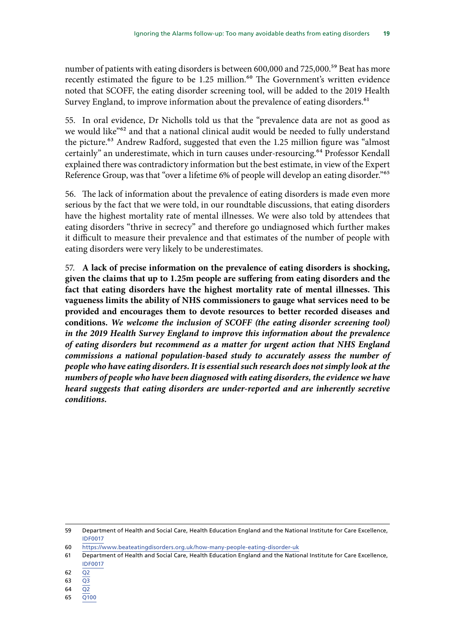number of patients with eating disorders is between 600,000 and 725,000.<sup>59</sup> Beat has more recently estimated the figure to be 1.25 million.<sup>60</sup> The Government's written evidence noted that SCOFF, the eating disorder screening tool, will be added to the 2019 Health Survey England, to improve information about the prevalence of eating disorders.<sup>61</sup>

55. In oral evidence, Dr Nicholls told us that the "prevalence data are not as good as we would like"62 and that a national clinical audit would be needed to fully understand the picture.<sup>63</sup> Andrew Radford, suggested that even the 1.25 million figure was "almost certainly" an underestimate, which in turn causes under-resourcing.<sup>64</sup> Professor Kendall explained there was contradictory information but the best estimate, in view of the Expert Reference Group, was that "over a lifetime 6% of people will develop an eating disorder."65

56. The lack of information about the prevalence of eating disorders is made even more serious by the fact that we were told, in our roundtable discussions, that eating disorders have the highest mortality rate of mental illnesses. We were also told by attendees that eating disorders "thrive in secrecy" and therefore go undiagnosed which further makes it difficult to measure their prevalence and that estimates of the number of people with eating disorders were very likely to be underestimates.

57. **A lack of precise information on the prevalence of eating disorders is shocking, given the claims that up to 1.25m people are suffering from eating disorders and the fact that eating disorders have the highest mortality rate of mental illnesses. This vagueness limits the ability of NHS commissioners to gauge what services need to be provided and encourages them to devote resources to better recorded diseases and conditions.** *We welcome the inclusion of SCOFF (the eating disorder screening tool) in the 2019 Health Survey England to improve this information about the prevalence of eating disorders but recommend as a matter for urgent action that NHS England commissions a national population-based study to accurately assess the number of people who have eating disorders. It is essential such research does not simply look at the numbers of people who have been diagnosed with eating disorders, the evidence we have heard suggests that eating disorders are under-reported and are inherently secretive conditions.*

- 60 <https://www.beateatingdisorders.org.uk/how-many-people-eating-disorder-uk>
- 61 Department of Health and Social Care, Health Education England and the National Institute for Care Excellence, [IDF0017](http://data.parliament.uk/writtenevidence/committeeevidence.svc/evidencedocument/public-administration-and-constitutional-affairs-committee/phso-report-ignoring-the-alarms-how-nhs-eating-disorders-services-are-failing-patients/written/101725.pdf)
- $62 \overline{Q}$
- 63 [Q3](http://data.parliament.uk/writtenevidence/committeeevidence.svc/evidencedocument/public-administration-and-constitutional-affairs-committee/phso-report-ignoring-the-alarms-how-nhs-eating-disorders-services-are-failing-patients/oral/102194.pdf)
- 64 [Q2](http://data.parliament.uk/writtenevidence/committeeevidence.svc/evidencedocument/public-administration-and-constitutional-affairs-committee/phso-report-ignoring-the-alarms-how-nhs-eating-disorders-services-are-failing-patients/oral/102194.pdf)
- 65 [Q100](http://data.parliament.uk/writtenevidence/committeeevidence.svc/evidencedocument/public-administration-and-constitutional-affairs-committee/phso-report-ignoring-the-alarms-how-nhs-eating-disorders-services-are-failing-patients/oral/102194.pdf)

<sup>59</sup> Department of Health and Social Care, Health Education England and the National Institute for Care Excellence, [IDF0017](http://data.parliament.uk/writtenevidence/committeeevidence.svc/evidencedocument/public-administration-and-constitutional-affairs-committee/phso-report-ignoring-the-alarms-how-nhs-eating-disorders-services-are-failing-patients/written/101725.pdf)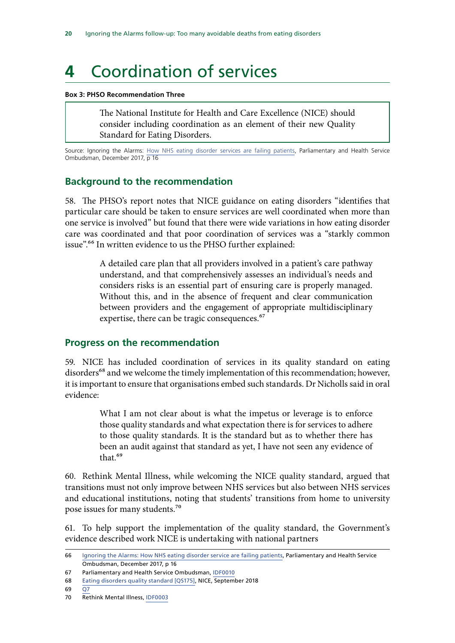# <span id="page-21-0"></span>**4** Coordination of services

#### **Box 3: PHSO Recommendation Three**

The National Institute for Health and Care Excellence (NICE) should consider including coordination as an element of their new Quality Standard for Eating Disorders.

Source: Ignoring the Alarms: [How NHS eating disorder services are failing patients,](https://www.ombudsman.org.uk/sites/default/files/page/ACCESSIBILE%20PDF%20-%20Anorexia%20Report.pdf) Parliamentary and Health Service Ombudsman, December 2017, p 16

#### **Background to the recommendation**

58. The PHSO's report notes that NICE guidance on eating disorders "identifies that particular care should be taken to ensure services are well coordinated when more than one service is involved" but found that there were wide variations in how eating disorder care was coordinated and that poor coordination of services was a "starkly common issue".66 In written evidence to us the PHSO further explained:

> A detailed care plan that all providers involved in a patient's care pathway understand, and that comprehensively assesses an individual's needs and considers risks is an essential part of ensuring care is properly managed. Without this, and in the absence of frequent and clear communication between providers and the engagement of appropriate multidisciplinary expertise, there can be tragic consequences.<sup>67</sup>

#### **Progress on the recommendation**

59. NICE has included coordination of services in its quality standard on eating disorders<sup>68</sup> and we welcome the timely implementation of this recommendation; however, it is important to ensure that organisations embed such standards. Dr Nicholls said in oral evidence:

> What I am not clear about is what the impetus or leverage is to enforce those quality standards and what expectation there is for services to adhere to those quality standards. It is the standard but as to whether there has been an audit against that standard as yet, I have not seen any evidence of that<sup>69</sup>

60. Rethink Mental Illness, while welcoming the NICE quality standard, argued that transitions must not only improve between NHS services but also between NHS services and educational institutions, noting that students' transitions from home to university pose issues for many students.70

61. To help support the implementation of the quality standard, the Government's evidence described work NICE is undertaking with national partners

69 [Q7](http://data.parliament.uk/writtenevidence/committeeevidence.svc/evidencedocument/public-administration-and-constitutional-affairs-committee/phso-report-ignoring-the-alarms-how-nhs-eating-disorders-services-are-failing-patients/oral/102194.pdf)

<sup>66</sup> [Ignoring the Alarms: How NHS eating disorder service are failing patients,](https://www.ombudsman.org.uk/sites/default/files/page/ACCESSIBILE%20PDF%20-%20Anorexia%20Report.pdf) Parliamentary and Health Service Ombudsman, December 2017, p 16

<sup>67</sup> Parliamentary and Health Service Ombudsman, [IDF0010](http://data.parliament.uk/writtenevidence/committeeevidence.svc/evidencedocument/public-administration-and-constitutional-affairs-committee/phso-report-ignoring-the-alarms-how-nhs-eating-disorders-services-are-failing-patients/written/101322.pdf)

<sup>68</sup> [Eating disorders quality standard \[QS175\]](https://www.nice.org.uk/guidance/qs175), NICE, September 2018

<sup>70</sup> Rethink Mental Illness, [IDF0003](http://data.parliament.uk/writtenevidence/committeeevidence.svc/evidencedocument/public-administration-and-constitutional-affairs-committee/phso-report-ignoring-the-alarms-how-nhs-eating-disorders-services-are-failing-patients/written/99768.pdf)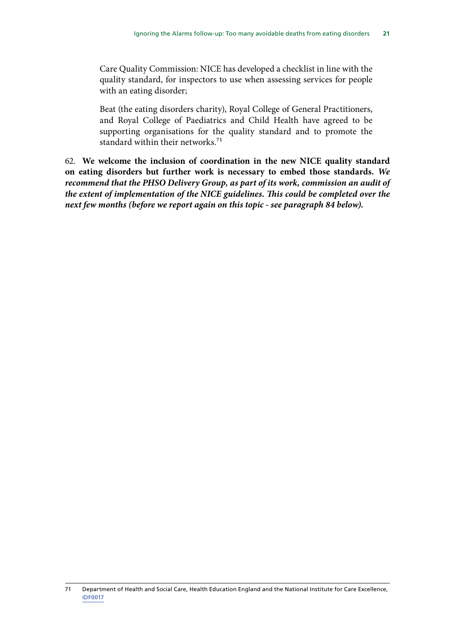Care Quality Commission: NICE has developed a checklist in line with the quality standard, for inspectors to use when assessing services for people with an eating disorder;

Beat (the eating disorders charity), Royal College of General Practitioners, and Royal College of Paediatrics and Child Health have agreed to be supporting organisations for the quality standard and to promote the standard within their networks.<sup>71</sup>

62. **We welcome the inclusion of coordination in the new NICE quality standard on eating disorders but further work is necessary to embed those standards.** *We recommend that the PHSO Delivery Group, as part of its work, commission an audit of the extent of implementation of the NICE guidelines. This could be completed over the next few months (before we report again on this topic - see paragraph 84 below).*

<sup>71</sup> Department of Health and Social Care, Health Education England and the National Institute for Care Excellence, [IDF0017](http://data.parliament.uk/writtenevidence/committeeevidence.svc/evidencedocument/public-administration-and-constitutional-affairs-committee/phso-report-ignoring-the-alarms-how-nhs-eating-disorders-services-are-failing-patients/written/101725.pdf)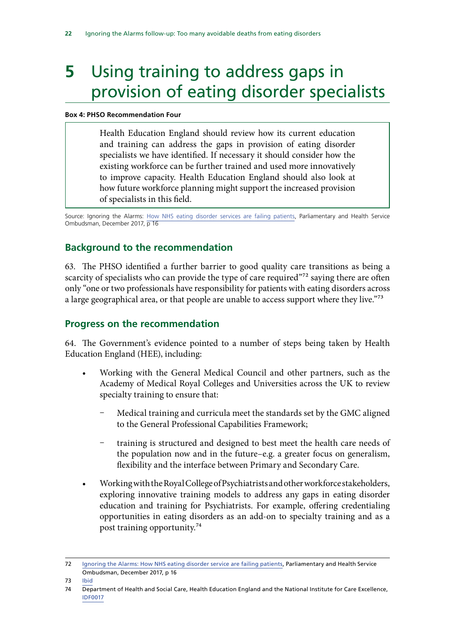# <span id="page-23-0"></span>**5** Using training to address gaps in provision of eating disorder specialists

#### **Box 4: PHSO Recommendation Four**

Health Education England should review how its current education and training can address the gaps in provision of eating disorder specialists we have identified. If necessary it should consider how the existing workforce can be further trained and used more innovatively to improve capacity. Health Education England should also look at how future workforce planning might support the increased provision of specialists in this field.

Source: Ignoring the Alarms: [How NHS eating disorder services are failing patients,](https://www.ombudsman.org.uk/sites/default/files/page/ACCESSIBILE%20PDF%20-%20Anorexia%20Report.pdf) Parliamentary and Health Service Ombudsman, December 2017, p 16

## **Background to the recommendation**

63. The PHSO identified a further barrier to good quality care transitions as being a scarcity of specialists who can provide the type of care required"<sup>72</sup> saying there are often only "one or two professionals have responsibility for patients with eating disorders across a large geographical area, or that people are unable to access support where they live."73

## **Progress on the recommendation**

64. The Government's evidence pointed to a number of steps being taken by Health Education England (HEE), including:

- Working with the General Medical Council and other partners, such as the Academy of Medical Royal Colleges and Universities across the UK to review specialty training to ensure that:
	- Medical training and curricula meet the standards set by the GMC aligned to the General Professional Capabilities Framework;
	- training is structured and designed to best meet the health care needs of the population now and in the future–e.g. a greater focus on generalism, flexibility and the interface between Primary and Secondary Care.
- Working with the Royal College of Psychiatrists and other workforce stakeholders, exploring innovative training models to address any gaps in eating disorder education and training for Psychiatrists. For example, offering credentialing opportunities in eating disorders as an add-on to specialty training and as a post training opportunity.74

<sup>72</sup> [Ignoring the Alarms: How NHS eating disorder service are failing patients,](https://www.ombudsman.org.uk/sites/default/files/page/ACCESSIBILE%20PDF%20-%20Anorexia%20Report.pdf) Parliamentary and Health Service Ombudsman, December 2017, p 16

<sup>73</sup> [Ibid](https://www.ombudsman.org.uk/sites/default/files/page/ACCESSIBILE%20PDF%20-%20Anorexia%20Report.pdf)

<sup>74</sup> Department of Health and Social Care, Health Education England and the National Institute for Care Excellence, [IDF0017](http://data.parliament.uk/writtenevidence/committeeevidence.svc/evidencedocument/public-administration-and-constitutional-affairs-committee/phso-report-ignoring-the-alarms-how-nhs-eating-disorders-services-are-failing-patients/written/101725.pdf)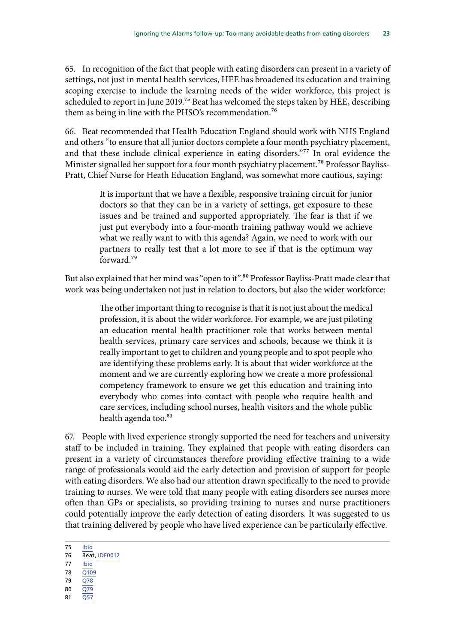65. In recognition of the fact that people with eating disorders can present in a variety of settings, not just in mental health services, HEE has broadened its education and training scoping exercise to include the learning needs of the wider workforce, this project is scheduled to report in June 2019.<sup>75</sup> Beat has welcomed the steps taken by HEE, describing them as being in line with the PHSO's recommendation.<sup>76</sup>

66. Beat recommended that Health Education England should work with NHS England and others "to ensure that all junior doctors complete a four month psychiatry placement, and that these include clinical experience in eating disorders."<sup>77</sup> In oral evidence the Minister signalled her support for a four month psychiatry placement.<sup>78</sup> Professor Bayliss-Pratt, Chief Nurse for Heath Education England, was somewhat more cautious, saying:

> It is important that we have a flexible, responsive training circuit for junior doctors so that they can be in a variety of settings, get exposure to these issues and be trained and supported appropriately. The fear is that if we just put everybody into a four-month training pathway would we achieve what we really want to with this agenda? Again, we need to work with our partners to really test that a lot more to see if that is the optimum way forward.79

But also explained that her mind was "open to it".<sup>80</sup> Professor Bayliss-Pratt made clear that work was being undertaken not just in relation to doctors, but also the wider workforce:

> The other important thing to recognise is that it is not just about the medical profession, it is about the wider workforce. For example, we are just piloting an education mental health practitioner role that works between mental health services, primary care services and schools, because we think it is really important to get to children and young people and to spot people who are identifying these problems early. It is about that wider workforce at the moment and we are currently exploring how we create a more professional competency framework to ensure we get this education and training into everybody who comes into contact with people who require health and care services, including school nurses, health visitors and the whole public health agenda too. $81$

67. People with lived experience strongly supported the need for teachers and university staff to be included in training. They explained that people with eating disorders can present in a variety of circumstances therefore providing effective training to a wide range of professionals would aid the early detection and provision of support for people with eating disorders. We also had our attention drawn specifically to the need to provide training to nurses. We were told that many people with eating disorders see nurses more often than GPs or specialists, so providing training to nurses and nurse practitioners could potentially improve the early detection of eating disorders. It was suggested to us that training delivered by people who have lived experience can be particularly effective.

- 78 [Q109](http://data.parliament.uk/writtenevidence/committeeevidence.svc/evidencedocument/public-administration-and-constitutional-affairs-committee/phso-report-ignoring-the-alarms-how-nhs-eating-disorders-services-are-failing-patients/oral/102194.pdf)
- 79 [Q78](http://data.parliament.uk/writtenevidence/committeeevidence.svc/evidencedocument/public-administration-and-constitutional-affairs-committee/phso-report-ignoring-the-alarms-how-nhs-eating-disorders-services-are-failing-patients/oral/102194.pdf)
- 80 [Q79](http://data.parliament.uk/writtenevidence/committeeevidence.svc/evidencedocument/public-administration-and-constitutional-affairs-committee/phso-report-ignoring-the-alarms-how-nhs-eating-disorders-services-are-failing-patients/oral/102194.pdf)
- 81 [Q57](http://data.parliament.uk/writtenevidence/committeeevidence.svc/evidencedocument/public-administration-and-constitutional-affairs-committee/phso-report-ignoring-the-alarms-how-nhs-eating-disorders-services-are-failing-patients/oral/102194.pdf)

<sup>75</sup> [Ibid](http://data.parliament.uk/writtenevidence/committeeevidence.svc/evidencedocument/public-administration-and-constitutional-affairs-committee/phso-report-ignoring-the-alarms-how-nhs-eating-disorders-services-are-failing-patients/written/101725.pdf) 76 Beat, [IDF0012](http://data.parliament.uk/writtenevidence/committeeevidence.svc/evidencedocument/public-administration-and-constitutional-affairs-committee/phso-report-ignoring-the-alarms-how-nhs-eating-disorders-services-are-failing-patients/written/101346.pdf)

<sup>77</sup> [Ibid](http://data.parliament.uk/writtenevidence/committeeevidence.svc/evidencedocument/public-administration-and-constitutional-affairs-committee/phso-report-ignoring-the-alarms-how-nhs-eating-disorders-services-are-failing-patients/written/101346.pdf)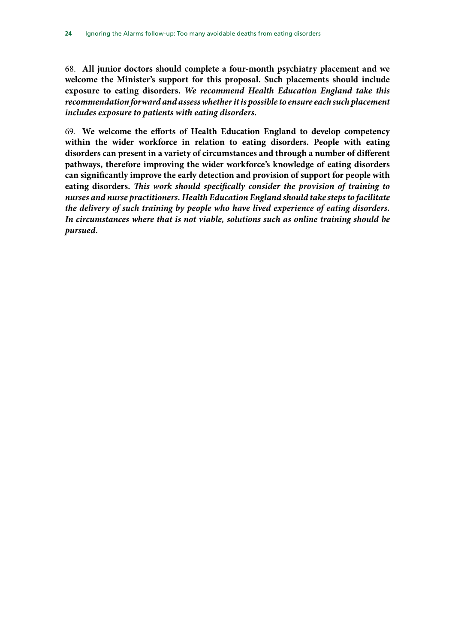68. **All junior doctors should complete a four-month psychiatry placement and we welcome the Minister's support for this proposal. Such placements should include exposure to eating disorders.** *We recommend Health Education England take this recommendation forward and assess whether it is possible to ensure each such placement includes exposure to patients with eating disorders.*

69. **We welcome the efforts of Health Education England to develop competency within the wider workforce in relation to eating disorders. People with eating disorders can present in a variety of circumstances and through a number of different pathways, therefore improving the wider workforce's knowledge of eating disorders can significantly improve the early detection and provision of support for people with eating disorders.** *This work should specifically consider the provision of training to nurses and nurse practitioners. Health Education England should take steps to facilitate the delivery of such training by people who have lived experience of eating disorders. In circumstances where that is not viable, solutions such as online training should be pursued.*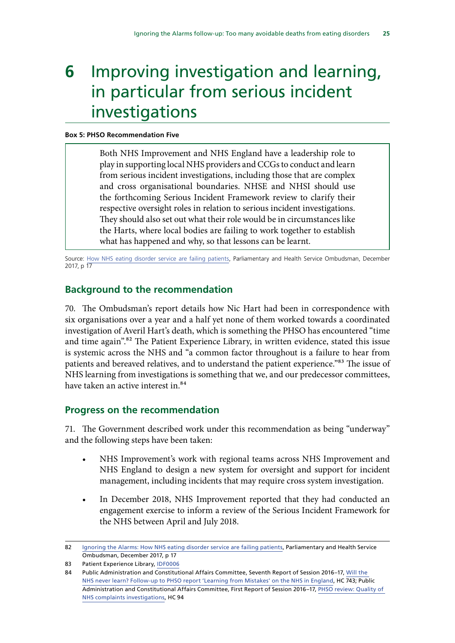# <span id="page-26-0"></span>**6** Improving investigation and learning, in particular from serious incident investigations

#### **Box 5: PHSO Recommendation Five**

Both NHS Improvement and NHS England have a leadership role to play in supporting local NHS providers and CCGs to conduct and learn from serious incident investigations, including those that are complex and cross organisational boundaries. NHSE and NHSI should use the forthcoming Serious Incident Framework review to clarify their respective oversight roles in relation to serious incident investigations. They should also set out what their role would be in circumstances like the Harts, where local bodies are failing to work together to establish what has happened and why, so that lessons can be learnt.

Source: [How NHS eating disorder service are failing patients,](https://www.ombudsman.org.uk/sites/default/files/page/ACCESSIBILE%20PDF%20-%20Anorexia%20Report.pdf) Parliamentary and Health Service Ombudsman, December 2017, p 17

### **Background to the recommendation**

70. The Ombudsman's report details how Nic Hart had been in correspondence with six organisations over a year and a half yet none of them worked towards a coordinated investigation of Averil Hart's death, which is something the PHSO has encountered "time and time again".<sup>82</sup> The Patient Experience Library, in written evidence, stated this issue is systemic across the NHS and "a common factor throughout is a failure to hear from patients and bereaved relatives, and to understand the patient experience."83 The issue of NHS learning from investigations is something that we, and our predecessor committees, have taken an active interest in.<sup>84</sup>

#### **Progress on the recommendation**

71. The Government described work under this recommendation as being "underway" and the following steps have been taken:

- NHS Improvement's work with regional teams across NHS Improvement and NHS England to design a new system for oversight and support for incident management, including incidents that may require cross system investigation.
- In December 2018, NHS Improvement reported that they had conducted an engagement exercise to inform a review of the Serious Incident Framework for the NHS between April and July 2018.

<sup>82</sup> [Ignoring the Alarms: How NHS eating disorder service are failing patients,](https://www.ombudsman.org.uk/sites/default/files/page/ACCESSIBILE%20PDF%20-%20Anorexia%20Report.pdf) Parliamentary and Health Service Ombudsman, December 2017, p 17

<sup>83</sup> Patient Experience Library, [IDF0006](http://data.parliament.uk/writtenevidence/committeeevidence.svc/evidencedocument/public-administration-and-constitutional-affairs-committee/phso-report-ignoring-the-alarms-how-nhs-eating-disorders-services-are-failing-patients/written/101213.pdf)

<sup>84</sup> Public Administration and Constitutional Affairs Committee, Seventh Report of Session 2016–17, [Will the](https://publications.parliament.uk/pa/cm201617/cmselect/cmpubadm/743/743.pdf)  [NHS never learn? Follow-up to PHSO report 'Learning from Mistakes' on the NHS in England](https://publications.parliament.uk/pa/cm201617/cmselect/cmpubadm/743/743.pdf), HC 743; Public Administration and Constitutional Affairs Committee, First Report of Session 2016–17, [PHSO review: Quality of](https://publications.parliament.uk/pa/cm201617/cmselect/cmpubadm/94/94.pdf)  [NHS complaints investigations,](https://publications.parliament.uk/pa/cm201617/cmselect/cmpubadm/94/94.pdf) HC 94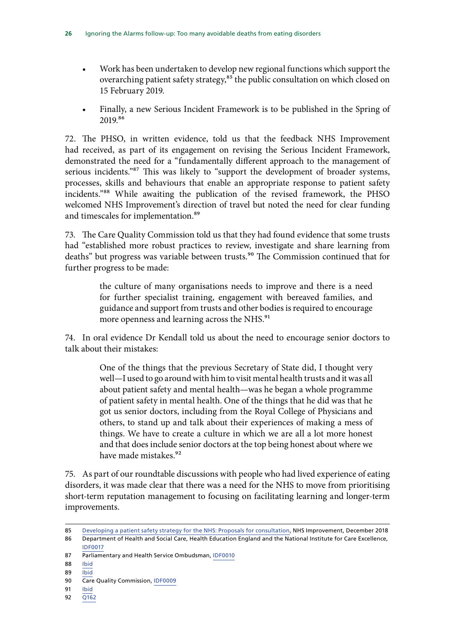- Work has been undertaken to develop new regional functions which support the overarching patient safety strategy,<sup>85</sup> the public consultation on which closed on 15 February 2019.
- Finally, a new Serious Incident Framework is to be published in the Spring of 2019.86

72. The PHSO, in written evidence, told us that the feedback NHS Improvement had received, as part of its engagement on revising the Serious Incident Framework, demonstrated the need for a "fundamentally different approach to the management of serious incidents."<sup>87</sup> This was likely to "support the development of broader systems, processes, skills and behaviours that enable an appropriate response to patient safety incidents."88 While awaiting the publication of the revised framework, the PHSO welcomed NHS Improvement's direction of travel but noted the need for clear funding and timescales for implementation.<sup>89</sup>

73. The Care Quality Commission told us that they had found evidence that some trusts had "established more robust practices to review, investigate and share learning from deaths" but progress was variable between trusts.<sup>90</sup> The Commission continued that for further progress to be made:

> the culture of many organisations needs to improve and there is a need for further specialist training, engagement with bereaved families, and guidance and support from trusts and other bodies is required to encourage more openness and learning across the NHS.<sup>91</sup>

74. In oral evidence Dr Kendall told us about the need to encourage senior doctors to talk about their mistakes:

> One of the things that the previous Secretary of State did, I thought very well—I used to go around with him to visit mental health trusts and it was all about patient safety and mental health—was he began a whole programme of patient safety in mental health. One of the things that he did was that he got us senior doctors, including from the Royal College of Physicians and others, to stand up and talk about their experiences of making a mess of things. We have to create a culture in which we are all a lot more honest and that does include senior doctors at the top being honest about where we have made mistakes.<sup>92</sup>

75. As part of our roundtable discussions with people who had lived experience of eating disorders, it was made clear that there was a need for the NHS to move from prioritising short-term reputation management to focusing on facilitating learning and longer-term improvements.

<sup>85</sup> [Developing a patient safety strategy for the NHS: Proposals for consultation](https://engage.improvement.nhs.uk/policy-strategy-and-delivery-management/patient-safety-strategy/user_uploads/developing-a-patient-safety-strategy-for-the-nhs-14-dec-2018-v2.pdf), NHS Improvement, December 2018 86 Department of Health and Social Care, Health Education England and the National Institute for Care Excellence, [IDF0017](http://data.parliament.uk/writtenevidence/committeeevidence.svc/evidencedocument/public-administration-and-constitutional-affairs-committee/phso-report-ignoring-the-alarms-how-nhs-eating-disorders-services-are-failing-patients/written/101725.pdf)

<sup>87</sup> Parliamentary and Health Service Ombudsman, [IDF0010](http://data.parliament.uk/writtenevidence/committeeevidence.svc/evidencedocument/public-administration-and-constitutional-affairs-committee/phso-report-ignoring-the-alarms-how-nhs-eating-disorders-services-are-failing-patients/written/101322.pdf)

<sup>88</sup> [Ibid](http://data.parliament.uk/writtenevidence/committeeevidence.svc/evidencedocument/public-administration-and-constitutional-affairs-committee/phso-report-ignoring-the-alarms-how-nhs-eating-disorders-services-are-failing-patients/written/101322.pdf)

<sup>89</sup> [Ibid](http://data.parliament.uk/writtenevidence/committeeevidence.svc/evidencedocument/public-administration-and-constitutional-affairs-committee/phso-report-ignoring-the-alarms-how-nhs-eating-disorders-services-are-failing-patients/written/101322.pdf)

<sup>90</sup> Care Quality Commission, [IDF0009](http://data.parliament.uk/writtenevidence/committeeevidence.svc/evidencedocument/public-administration-and-constitutional-affairs-committee/phso-report-ignoring-the-alarms-how-nhs-eating-disorders-services-are-failing-patients/written/101311.pdf)

<sup>91</sup> [Ibid](http://data.parliament.uk/writtenevidence/committeeevidence.svc/evidencedocument/public-administration-and-constitutional-affairs-committee/phso-report-ignoring-the-alarms-how-nhs-eating-disorders-services-are-failing-patients/written/101311.pdf)

<sup>92</sup> [Q162](http://data.parliament.uk/writtenevidence/committeeevidence.svc/evidencedocument/public-administration-and-constitutional-affairs-committee/phso-report-ignoring-the-alarms-how-nhs-eating-disorders-services-are-failing-patients/oral/102194.pdf)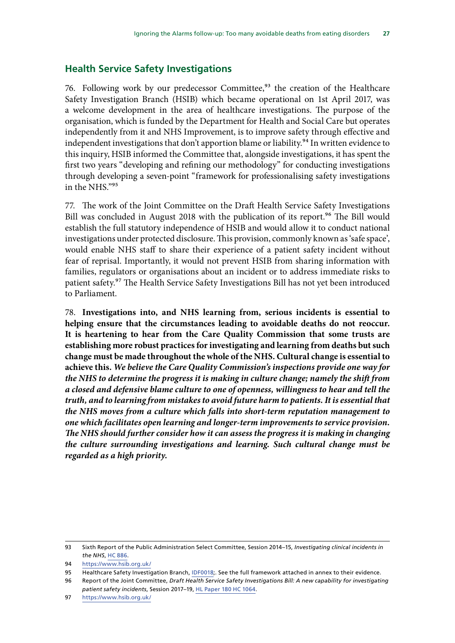### <span id="page-28-0"></span>**Health Service Safety Investigations**

76. Following work by our predecessor Committee,<sup>93</sup> the creation of the Healthcare Safety Investigation Branch (HSIB) which became operational on 1st April 2017, was a welcome development in the area of healthcare investigations. The purpose of the organisation, which is funded by the Department for Health and Social Care but operates independently from it and NHS Improvement, is to improve safety through effective and independent investigations that don't apportion blame or liability.<sup>94</sup> In written evidence to this inquiry, HSIB informed the Committee that, alongside investigations, it has spent the first two years "developing and refining our methodology" for conducting investigations through developing a seven-point "framework for professionalising safety investigations in the NHS."95

77. The work of the Joint Committee on the Draft Health Service Safety Investigations Bill was concluded in August 2018 with the publication of its report.<sup>96</sup> The Bill would establish the full statutory independence of HSIB and would allow it to conduct national investigations under protected disclosure. This provision, commonly known as 'safe space', would enable NHS staff to share their experience of a patient safety incident without fear of reprisal. Importantly, it would not prevent HSIB from sharing information with families, regulators or organisations about an incident or to address immediate risks to patient safety.97 The Health Service Safety Investigations Bill has not yet been introduced to Parliament.

78. **Investigations into, and NHS learning from, serious incidents is essential to helping ensure that the circumstances leading to avoidable deaths do not reoccur. It is heartening to hear from the Care Quality Commission that some trusts are establishing more robust practices for investigating and learning from deaths but such change must be made throughout the whole of the NHS. Cultural change is essential to achieve this.** *We believe the Care Quality Commission's inspections provide one way for the NHS to determine the progress it is making in culture change; namely the shift from a closed and defensive blame culture to one of openness, willingness to hear and tell the truth, and to learning from mistakes to avoid future harm to patients. It is essential that the NHS moves from a culture which falls into short-term reputation management to one which facilitates open learning and longer-term improvements to service provision. The NHS should further consider how it can assess the progress it is making in changing the culture surrounding investigations and learning. Such cultural change must be regarded as a high priority.*

<sup>93</sup> Sixth Report of the Public Administration Select Committee, Session 2014–15, *Investigating clinical incidents in the NHS*, [HC 886](https://publications.parliament.uk/pa/cm201415/cmselect/cmpubadm/886/886.pdf).

<sup>94</sup> <https://www.hsib.org.uk/>

<sup>95</sup> Healthcare Safety Investigation Branch, [IDF0018](http://data.parliament.uk/writtenevidence/committeeevidence.svc/evidencedocument/public-administration-and-constitutional-affairs-committee/phso-report-ignoring-the-alarms-how-nhs-eating-disorders-services-are-failing-patients/written/102710.pdf);. See the full framework attached in annex to their evidence.

<sup>96</sup> Report of the Joint Committee, *Draft Health Service Safety Investigations Bill: A new capability for investigating patient safety incidents*, Session 2017–19, [HL Paper 180 HC 1064](https://publications.parliament.uk/pa/jt201719/jtselect/jthssib/1064/1064.pdf).

<sup>97</sup> <https://www.hsib.org.uk/>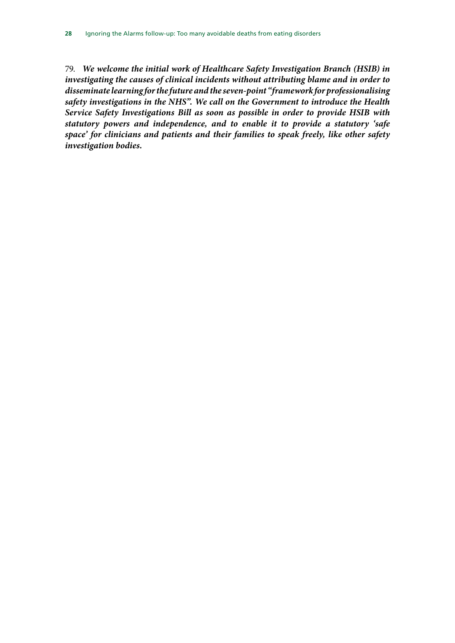79. *We welcome the initial work of Healthcare Safety Investigation Branch (HSIB) in investigating the causes of clinical incidents without attributing blame and in order to disseminate learning for the future and the seven-point "framework for professionalising safety investigations in the NHS". We call on the Government to introduce the Health Service Safety Investigations Bill as soon as possible in order to provide HSIB with statutory powers and independence, and to enable it to provide a statutory 'safe space' for clinicians and patients and their families to speak freely, like other safety investigation bodies.*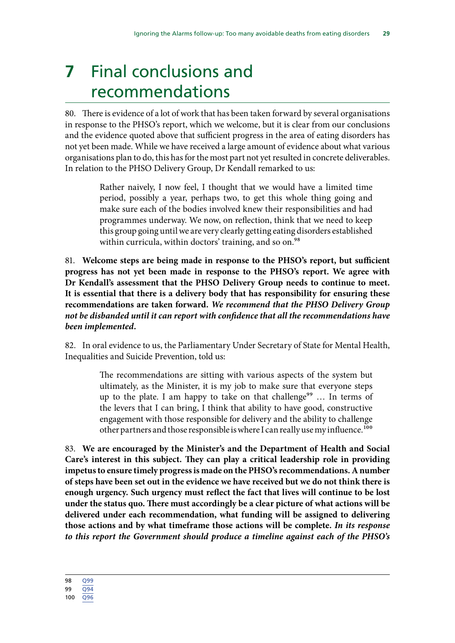# <span id="page-30-0"></span>**7** Final conclusions and recommendations

80. There is evidence of a lot of work that has been taken forward by several organisations in response to the PHSO's report, which we welcome, but it is clear from our conclusions and the evidence quoted above that sufficient progress in the area of eating disorders has not yet been made. While we have received a large amount of evidence about what various organisations plan to do, this has for the most part not yet resulted in concrete deliverables. In relation to the PHSO Delivery Group, Dr Kendall remarked to us:

> Rather naively, I now feel, I thought that we would have a limited time period, possibly a year, perhaps two, to get this whole thing going and make sure each of the bodies involved knew their responsibilities and had programmes underway. We now, on reflection, think that we need to keep this group going until we are very clearly getting eating disorders established within curricula, within doctors' training, and so on.<sup>98</sup>

81. **Welcome steps are being made in response to the PHSO's report, but sufficient progress has not yet been made in response to the PHSO's report. We agree with Dr Kendall's assessment that the PHSO Delivery Group needs to continue to meet. It is essential that there is a delivery body that has responsibility for ensuring these recommendations are taken forward.** *We recommend that the PHSO Delivery Group not be disbanded until it can report with confidence that all the recommendations have been implemented.*

82. In oral evidence to us, the Parliamentary Under Secretary of State for Mental Health, Inequalities and Suicide Prevention, told us:

> The recommendations are sitting with various aspects of the system but ultimately, as the Minister, it is my job to make sure that everyone steps up to the plate. I am happy to take on that challenge<sup>99</sup> ... In terms of the levers that I can bring, I think that ability to have good, constructive engagement with those responsible for delivery and the ability to challenge other partners and those responsible is where I can really use my influence.<sup>100</sup>

83. **We are encouraged by the Minister's and the Department of Health and Social Care's interest in this subject. They can play a critical leadership role in providing impetus to ensure timely progress is made on the PHSO's recommendations. A number of steps have been set out in the evidence we have received but we do not think there is enough urgency. Such urgency must reflect the fact that lives will continue to be lost under the status quo. There must accordingly be a clear picture of what actions will be delivered under each recommendation, what funding will be assigned to delivering those actions and by what timeframe those actions will be complete.** *In its response to this report the Government should produce a timeline against each of the PHSO's* 

<sup>99</sup> [Q94](http://data.parliament.uk/writtenevidence/committeeevidence.svc/evidencedocument/public-administration-and-constitutional-affairs-committee/phso-report-ignoring-the-alarms-how-nhs-eating-disorders-services-are-failing-patients/oral/102194.pdf)

<sup>100</sup> [Q96](http://data.parliament.uk/writtenevidence/committeeevidence.svc/evidencedocument/public-administration-and-constitutional-affairs-committee/phso-report-ignoring-the-alarms-how-nhs-eating-disorders-services-are-failing-patients/oral/102194.pdf)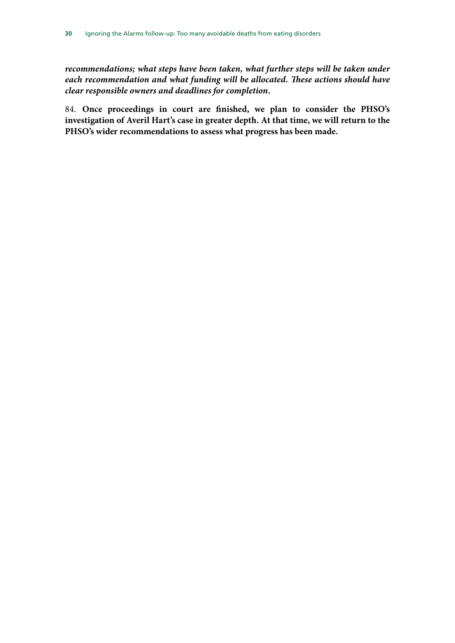*recommendations; what steps have been taken, what further steps will be taken under each recommendation and what funding will be allocated. These actions should have clear responsible owners and deadlines for completion.*

84. **Once proceedings in court are finished, we plan to consider the PHSO's investigation of Averil Hart's case in greater depth. At that time, we will return to the PHSO's wider recommendations to assess what progress has been made.**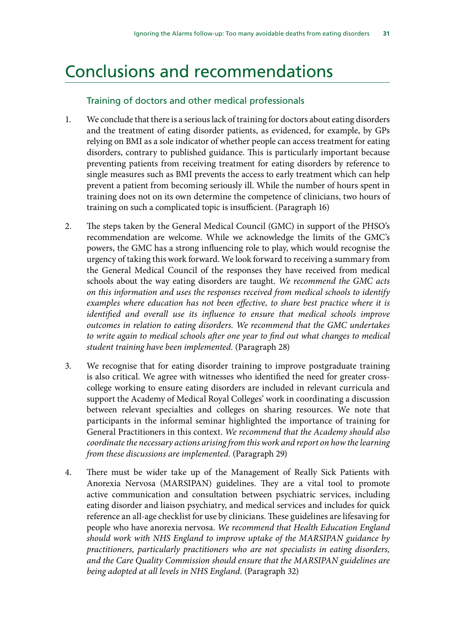# <span id="page-32-0"></span>Conclusions and recommendations

### Training of doctors and other medical professionals

- 1. We conclude that there is a serious lack of training for doctors about eating disorders and the treatment of eating disorder patients, as evidenced, for example, by GPs relying on BMI as a sole indicator of whether people can access treatment for eating disorders, contrary to published guidance. This is particularly important because preventing patients from receiving treatment for eating disorders by reference to single measures such as BMI prevents the access to early treatment which can help prevent a patient from becoming seriously ill. While the number of hours spent in training does not on its own determine the competence of clinicians, two hours of training on such a complicated topic is insufficient. (Paragraph 16)
- 2. The steps taken by the General Medical Council (GMC) in support of the PHSO's recommendation are welcome. While we acknowledge the limits of the GMC's powers, the GMC has a strong influencing role to play, which would recognise the urgency of taking this work forward. We look forward to receiving a summary from the General Medical Council of the responses they have received from medical schools about the way eating disorders are taught. *We recommend the GMC acts on this information and uses the responses received from medical schools to identify examples where education has not been effective, to share best practice where it is identified and overall use its influence to ensure that medical schools improve outcomes in relation to eating disorders. We recommend that the GMC undertakes to write again to medical schools after one year to find out what changes to medical student training have been implemented.* (Paragraph 28)
- 3. We recognise that for eating disorder training to improve postgraduate training is also critical. We agree with witnesses who identified the need for greater crosscollege working to ensure eating disorders are included in relevant curricula and support the Academy of Medical Royal Colleges' work in coordinating a discussion between relevant specialties and colleges on sharing resources. We note that participants in the informal seminar highlighted the importance of training for General Practitioners in this context. *We recommend that the Academy should also coordinate the necessary actions arising from this work and report on how the learning from these discussions are implemented.* (Paragraph 29)
- 4. There must be wider take up of the Management of Really Sick Patients with Anorexia Nervosa (MARSIPAN) guidelines. They are a vital tool to promote active communication and consultation between psychiatric services, including eating disorder and liaison psychiatry, and medical services and includes for quick reference an all-age checklist for use by clinicians. These guidelines are lifesaving for people who have anorexia nervosa. *We recommend that Health Education England should work with NHS England to improve uptake of the MARSIPAN guidance by practitioners, particularly practitioners who are not specialists in eating disorders, and the Care Quality Commission should ensure that the MARSIPAN guidelines are being adopted at all levels in NHS England.* (Paragraph 32)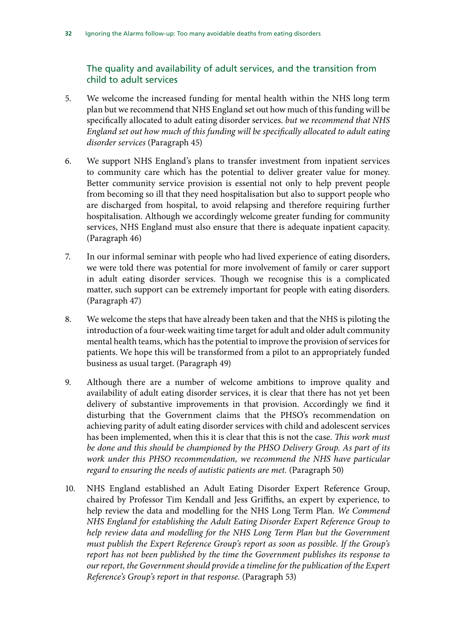The quality and availability of adult services, and the transition from child to adult services

- 5. We welcome the increased funding for mental health within the NHS long term plan but we recommend that NHS England set out how much of this funding will be specifically allocated to adult eating disorder services. *but we recommend that NHS England set out how much of this funding will be specifically allocated to adult eating disorder services* (Paragraph 45)
- 6. We support NHS England's plans to transfer investment from inpatient services to community care which has the potential to deliver greater value for money. Better community service provision is essential not only to help prevent people from becoming so ill that they need hospitalisation but also to support people who are discharged from hospital, to avoid relapsing and therefore requiring further hospitalisation. Although we accordingly welcome greater funding for community services, NHS England must also ensure that there is adequate inpatient capacity. (Paragraph 46)
- 7. In our informal seminar with people who had lived experience of eating disorders, we were told there was potential for more involvement of family or carer support in adult eating disorder services. Though we recognise this is a complicated matter, such support can be extremely important for people with eating disorders. (Paragraph 47)
- 8. We welcome the steps that have already been taken and that the NHS is piloting the introduction of a four-week waiting time target for adult and older adult community mental health teams, which has the potential to improve the provision of services for patients. We hope this will be transformed from a pilot to an appropriately funded business as usual target. (Paragraph 49)
- 9. Although there are a number of welcome ambitions to improve quality and availability of adult eating disorder services, it is clear that there has not yet been delivery of substantive improvements in that provision. Accordingly we find it disturbing that the Government claims that the PHSO's recommendation on achieving parity of adult eating disorder services with child and adolescent services has been implemented, when this it is clear that this is not the case. *This work must be done and this should be championed by the PHSO Delivery Group. As part of its*  work under this PHSO recommendation, we recommend the NHS have particular *regard to ensuring the needs of autistic patients are met.* (Paragraph 50)
- 10. NHS England established an Adult Eating Disorder Expert Reference Group, chaired by Professor Tim Kendall and Jess Griffiths, an expert by experience, to help review the data and modelling for the NHS Long Term Plan. *We Commend NHS England for establishing the Adult Eating Disorder Expert Reference Group to help review data and modelling for the NHS Long Term Plan but the Government must publish the Expert Reference Group's report as soon as possible. If the Group's report has not been published by the time the Government publishes its response to our report, the Government should provide a timeline for the publication of the Expert Reference's Group's report in that response.* (Paragraph 53)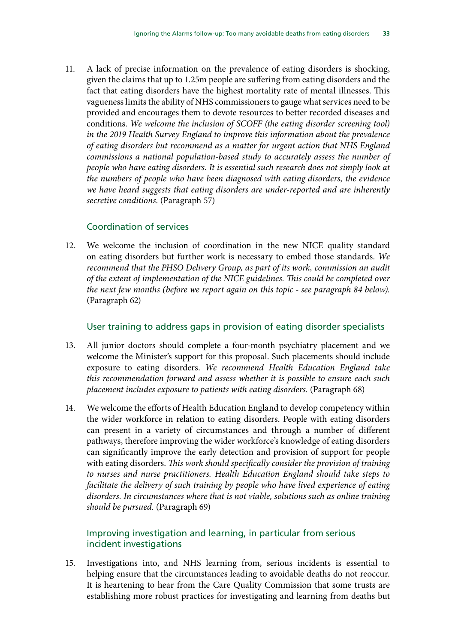11. A lack of precise information on the prevalence of eating disorders is shocking, given the claims that up to 1.25m people are suffering from eating disorders and the fact that eating disorders have the highest mortality rate of mental illnesses. This vagueness limits the ability of NHS commissioners to gauge what services need to be provided and encourages them to devote resources to better recorded diseases and conditions. *We welcome the inclusion of SCOFF (the eating disorder screening tool) in the 2019 Health Survey England to improve this information about the prevalence of eating disorders but recommend as a matter for urgent action that NHS England commissions a national population-based study to accurately assess the number of people who have eating disorders. It is essential such research does not simply look at the numbers of people who have been diagnosed with eating disorders, the evidence we have heard suggests that eating disorders are under-reported and are inherently secretive conditions.* (Paragraph 57)

### Coordination of services

12. We welcome the inclusion of coordination in the new NICE quality standard on eating disorders but further work is necessary to embed those standards. *We recommend that the PHSO Delivery Group, as part of its work, commission an audit of the extent of implementation of the NICE guidelines. This could be completed over the next few months (before we report again on this topic - see paragraph 84 below).* (Paragraph 62)

### User training to address gaps in provision of eating disorder specialists

- 13. All junior doctors should complete a four-month psychiatry placement and we welcome the Minister's support for this proposal. Such placements should include exposure to eating disorders. *We recommend Health Education England take this recommendation forward and assess whether it is possible to ensure each such placement includes exposure to patients with eating disorders.* (Paragraph 68)
- 14. We welcome the efforts of Health Education England to develop competency within the wider workforce in relation to eating disorders. People with eating disorders can present in a variety of circumstances and through a number of different pathways, therefore improving the wider workforce's knowledge of eating disorders can significantly improve the early detection and provision of support for people with eating disorders. *This work should specifically consider the provision of training to nurses and nurse practitioners. Health Education England should take steps to facilitate the delivery of such training by people who have lived experience of eating disorders. In circumstances where that is not viable, solutions such as online training should be pursued.* (Paragraph 69)

### Improving investigation and learning, in particular from serious incident investigations

15. Investigations into, and NHS learning from, serious incidents is essential to helping ensure that the circumstances leading to avoidable deaths do not reoccur. It is heartening to hear from the Care Quality Commission that some trusts are establishing more robust practices for investigating and learning from deaths but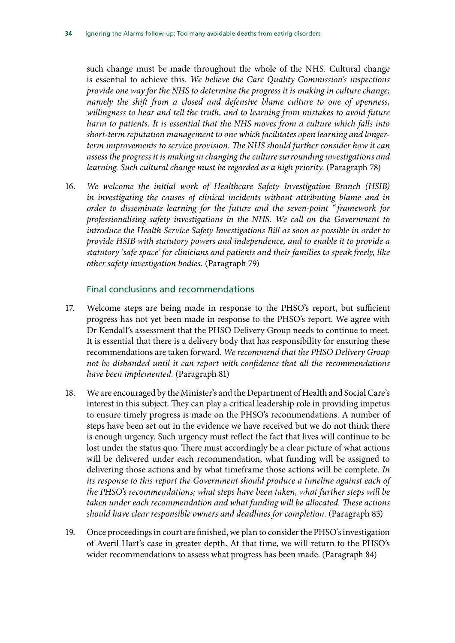such change must be made throughout the whole of the NHS. Cultural change is essential to achieve this. *We believe the Care Quality Commission's inspections provide one way for the NHS to determine the progress it is making in culture change; namely the shift from a closed and defensive blame culture to one of openness, willingness to hear and tell the truth, and to learning from mistakes to avoid future harm to patients. It is essential that the NHS moves from a culture which falls into short-term reputation management to one which facilitates open learning and longerterm improvements to service provision. The NHS should further consider how it can assess the progress it is making in changing the culture surrounding investigations and*  learning. Such cultural change must be regarded as a high priority. (Paragraph 78)

16. *We welcome the initial work of Healthcare Safety Investigation Branch (HSIB) in investigating the causes of clinical incidents without attributing blame and in order to disseminate learning for the future and the seven-point " framework for professionalising safety investigations in the NHS. We call on the Government to introduce the Health Service Safety Investigations Bill as soon as possible in order to provide HSIB with statutory powers and independence, and to enable it to provide a statutory 'safe space' for clinicians and patients and their families to speak freely, like other safety investigation bodies.* (Paragraph 79)

#### Final conclusions and recommendations

- 17. Welcome steps are being made in response to the PHSO's report, but sufficient progress has not yet been made in response to the PHSO's report. We agree with Dr Kendall's assessment that the PHSO Delivery Group needs to continue to meet. It is essential that there is a delivery body that has responsibility for ensuring these recommendations are taken forward. *We recommend that the PHSO Delivery Group not be disbanded until it can report with confidence that all the recommendations have been implemented.* (Paragraph 81)
- 18. We are encouraged by the Minister's and the Department of Health and Social Care's interest in this subject. They can play a critical leadership role in providing impetus to ensure timely progress is made on the PHSO's recommendations. A number of steps have been set out in the evidence we have received but we do not think there is enough urgency. Such urgency must reflect the fact that lives will continue to be lost under the status quo. There must accordingly be a clear picture of what actions will be delivered under each recommendation, what funding will be assigned to delivering those actions and by what timeframe those actions will be complete. *In its response to this report the Government should produce a timeline against each of the PHSO's recommendations; what steps have been taken, what further steps will be taken under each recommendation and what funding will be allocated. These actions should have clear responsible owners and deadlines for completion.* (Paragraph 83)
- 19. Once proceedings in court are finished, we plan to consider the PHSO's investigation of Averil Hart's case in greater depth. At that time, we will return to the PHSO's wider recommendations to assess what progress has been made. (Paragraph 84)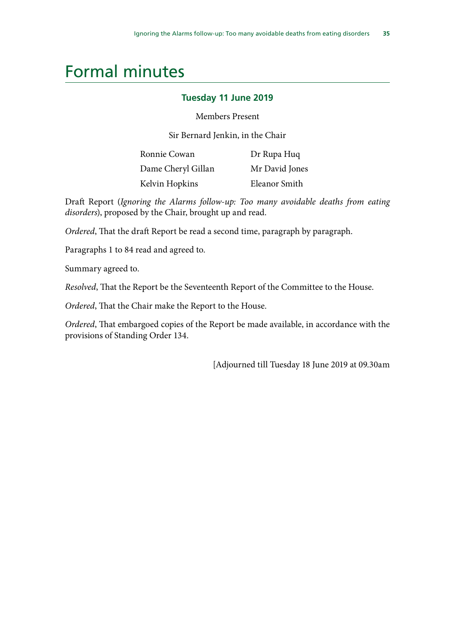# <span id="page-36-0"></span>Formal minutes

### **Tuesday 11 June 2019**

#### Members Present

Sir Bernard Jenkin, in the Chair

| Ronnie Cowan       | Dr Rupa Huq    |
|--------------------|----------------|
| Dame Cheryl Gillan | Mr David Jones |
| Kelvin Hopkins     | Eleanor Smith  |

Draft Report (*Ignoring the Alarms follow-up: Too many avoidable deaths from eating disorders*), proposed by the Chair, brought up and read.

*Ordered*, That the draft Report be read a second time, paragraph by paragraph.

Paragraphs 1 to 84 read and agreed to.

Summary agreed to.

*Resolved*, That the Report be the Seventeenth Report of the Committee to the House.

*Ordered*, That the Chair make the Report to the House.

*Ordered*, That embargoed copies of the Report be made available, in accordance with the provisions of Standing Order 134.

[Adjourned till Tuesday 18 June 2019 at 09.30am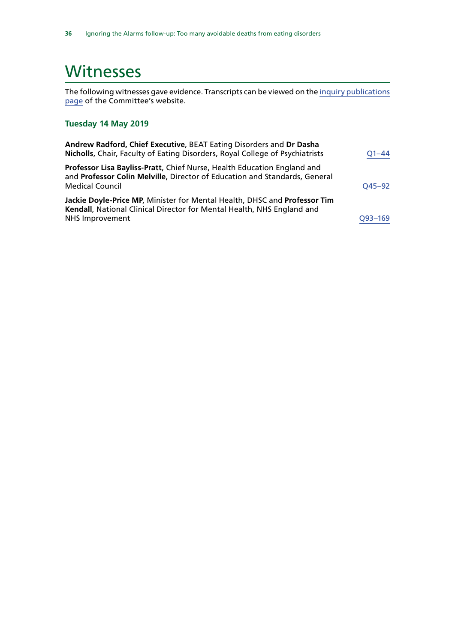# <span id="page-37-0"></span>**Witnesses**

The following witnesses gave evidence. Transcripts can be viewed on the [inquiry publications](https://www.parliament.uk/business/committees/committees-a-z/commons-select/public-administration-and-constitutional-affairs-committee/inquiries/parliament-2017/phso-ignoring-alarms-inquiry-17-19/publications/) [page](https://www.parliament.uk/business/committees/committees-a-z/commons-select/public-administration-and-constitutional-affairs-committee/inquiries/parliament-2017/phso-ignoring-alarms-inquiry-17-19/publications/) of the Committee's website.

### **Tuesday 14 May 2019**

| Andrew Radford, Chief Executive, BEAT Eating Disorders and Dr Dasha<br>Nicholls, Chair, Faculty of Eating Disorders, Royal College of Psychiatrists                             | $O1 - 44$ |
|---------------------------------------------------------------------------------------------------------------------------------------------------------------------------------|-----------|
| Professor Lisa Bayliss-Pratt, Chief Nurse, Health Education England and<br>and Professor Colin Melville, Director of Education and Standards, General<br><b>Medical Council</b> | Q45-92    |
| Jackie Doyle-Price MP, Minister for Mental Health, DHSC and Professor Tim<br>Kendall, National Clinical Director for Mental Health, NHS England and<br>NHS Improvement          | Q93-169   |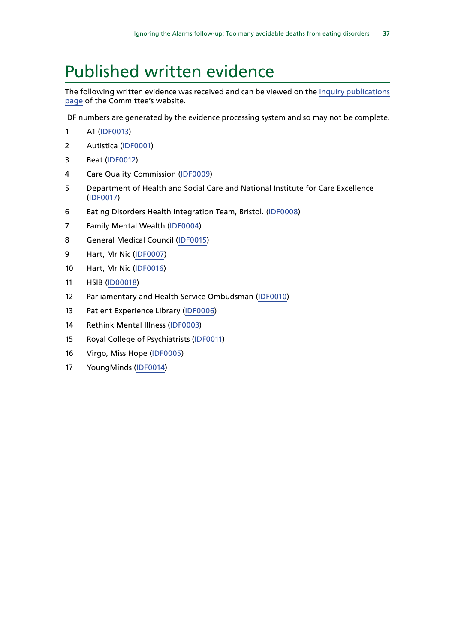# <span id="page-38-0"></span>Published written evidence

The following written evidence was received and can be viewed on the [inquiry publications](https://www.parliament.uk/business/committees/committees-a-z/commons-select/public-administration-and-constitutional-affairs-committee/inquiries/parliament-2017/phso-ignoring-alarms-inquiry-17-19/publications/) [page](https://www.parliament.uk/business/committees/committees-a-z/commons-select/public-administration-and-constitutional-affairs-committee/inquiries/parliament-2017/phso-ignoring-alarms-inquiry-17-19/publications/) of the Committee's website.

IDF numbers are generated by the evidence processing system and so may not be complete.

- A1 [\(IDF0013](http://data.parliament.uk/WrittenEvidence/CommitteeEvidence.svc/EvidenceDocument/Public%20Administration%20and%20Constitutional%20Affairs%20Committee%20/PHSO%20report:%20Ignoring%20the%20alarms:%20How%20NHS%20eating%20disorders%20services%20are%20failing%20patients/Written/101384.html))
- Autistica [\(IDF0001\)](http://data.parliament.uk/WrittenEvidence/CommitteeEvidence.svc/EvidenceDocument/Public%20Administration%20and%20Constitutional%20Affairs%20Committee%20/PHSO%20report:%20Ignoring%20the%20alarms:%20How%20NHS%20eating%20disorders%20services%20are%20failing%20patients/Written/99516.html)
- Beat ([IDF0012](http://data.parliament.uk/WrittenEvidence/CommitteeEvidence.svc/EvidenceDocument/Public%20Administration%20and%20Constitutional%20Affairs%20Committee%20/PHSO%20report:%20Ignoring%20the%20alarms:%20How%20NHS%20eating%20disorders%20services%20are%20failing%20patients/Written/101346.html))
- Care Quality Commission [\(IDF0009\)](http://data.parliament.uk/WrittenEvidence/CommitteeEvidence.svc/EvidenceDocument/Public%20Administration%20and%20Constitutional%20Affairs%20Committee%20/PHSO%20report:%20Ignoring%20the%20alarms:%20How%20NHS%20eating%20disorders%20services%20are%20failing%20patients/Written/101311.html)
- Department of Health and Social Care and National Institute for Care Excellence ([IDF0017\)](http://data.parliament.uk/WrittenEvidence/CommitteeEvidence.svc/EvidenceDocument/Public%20Administration%20and%20Constitutional%20Affairs%20Committee%20/PHSO%20report:%20Ignoring%20the%20alarms:%20How%20NHS%20eating%20disorders%20services%20are%20failing%20patients/Written/101725.html)
- Eating Disorders Health Integration Team, Bristol. ([IDF0008\)](http://data.parliament.uk/WrittenEvidence/CommitteeEvidence.svc/EvidenceDocument/Public%20Administration%20and%20Constitutional%20Affairs%20Committee%20/PHSO%20report:%20Ignoring%20the%20alarms:%20How%20NHS%20eating%20disorders%20services%20are%20failing%20patients/Written/101277.html)
- Family Mental Wealth [\(IDF0004](http://data.parliament.uk/WrittenEvidence/CommitteeEvidence.svc/EvidenceDocument/Public%20Administration%20and%20Constitutional%20Affairs%20Committee%20/PHSO%20report:%20Ignoring%20the%20alarms:%20How%20NHS%20eating%20disorders%20services%20are%20failing%20patients/Written/100909.html))
- General Medical Council [\(IDF0015](http://data.parliament.uk/WrittenEvidence/CommitteeEvidence.svc/EvidenceDocument/Public%20Administration%20and%20Constitutional%20Affairs%20Committee%20/PHSO%20report:%20Ignoring%20the%20alarms:%20How%20NHS%20eating%20disorders%20services%20are%20failing%20patients/Written/101523.html))
- Hart, Mr Nic ([IDF0007\)](http://data.parliament.uk/WrittenEvidence/CommitteeEvidence.svc/EvidenceDocument/Public%20Administration%20and%20Constitutional%20Affairs%20Committee%20/PHSO%20report:%20Ignoring%20the%20alarms:%20How%20NHS%20eating%20disorders%20services%20are%20failing%20patients/Written/101262.html)
- Hart, Mr Nic ([IDF0016](http://data.parliament.uk/WrittenEvidence/CommitteeEvidence.svc/EvidenceDocument/Public%20Administration%20and%20Constitutional%20Affairs%20Committee%20/PHSO%20report:%20Ignoring%20the%20alarms:%20How%20NHS%20eating%20disorders%20services%20are%20failing%20patients/Written/101717.html))
- HSIB ([ID00018\)](http://data.parliament.uk/writtenevidence/committeeevidence.svc/evidencedocument/public-administration-and-constitutional-affairs-committee/phso-report-ignoring-the-alarms-how-nhs-eating-disorders-services-are-failing-patients/written/102710.html)
- Parliamentary and Health Service Ombudsman [\(IDF0010](http://data.parliament.uk/WrittenEvidence/CommitteeEvidence.svc/EvidenceDocument/Public%20Administration%20and%20Constitutional%20Affairs%20Committee%20/PHSO%20report:%20Ignoring%20the%20alarms:%20How%20NHS%20eating%20disorders%20services%20are%20failing%20patients/Written/101322.html))
- Patient Experience Library [\(IDF0006](http://data.parliament.uk/WrittenEvidence/CommitteeEvidence.svc/EvidenceDocument/Public%20Administration%20and%20Constitutional%20Affairs%20Committee%20/PHSO%20report:%20Ignoring%20the%20alarms:%20How%20NHS%20eating%20disorders%20services%20are%20failing%20patients/Written/101213.html))
- Rethink Mental Illness ([IDF0003\)](http://data.parliament.uk/WrittenEvidence/CommitteeEvidence.svc/EvidenceDocument/Public%20Administration%20and%20Constitutional%20Affairs%20Committee%20/PHSO%20report:%20Ignoring%20the%20alarms:%20How%20NHS%20eating%20disorders%20services%20are%20failing%20patients/Written/99768.html)
- Royal College of Psychiatrists ([IDF0011\)](http://data.parliament.uk/WrittenEvidence/CommitteeEvidence.svc/EvidenceDocument/Public%20Administration%20and%20Constitutional%20Affairs%20Committee%20/PHSO%20report:%20Ignoring%20the%20alarms:%20How%20NHS%20eating%20disorders%20services%20are%20failing%20patients/Written/101324.html)
- Virgo, Miss Hope ([IDF0005](http://data.parliament.uk/WrittenEvidence/CommitteeEvidence.svc/EvidenceDocument/Public%20Administration%20and%20Constitutional%20Affairs%20Committee%20/PHSO%20report:%20Ignoring%20the%20alarms:%20How%20NHS%20eating%20disorders%20services%20are%20failing%20patients/Written/100955.html))
- YoungMinds ([IDF0014\)](http://data.parliament.uk/WrittenEvidence/CommitteeEvidence.svc/EvidenceDocument/Public%20Administration%20and%20Constitutional%20Affairs%20Committee%20/PHSO%20report:%20Ignoring%20the%20alarms:%20How%20NHS%20eating%20disorders%20services%20are%20failing%20patients/Written/101404.html)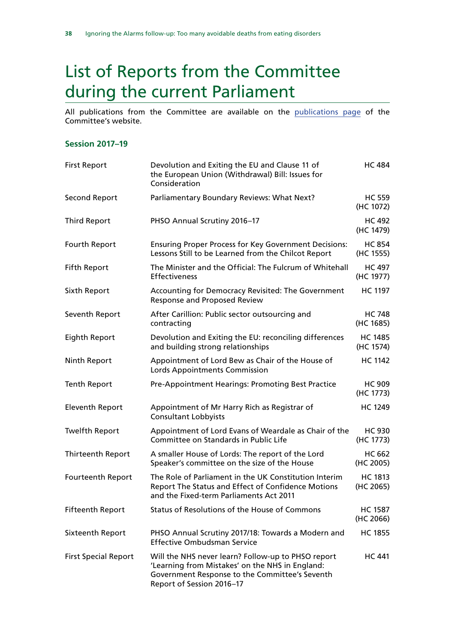# <span id="page-39-0"></span>List of Reports from the Committee during the current Parliament

All publications from the Committee are available on the [publications page](https://www.parliament.uk/business/committees/committees-a-z/commons-select/public-administration-and-constitutional-affairs-committee/publications/) of the Committee's website.

#### **Session 2017–19**

| <b>First Report</b>         | Devolution and Exiting the EU and Clause 11 of<br>the European Union (Withdrawal) Bill: Issues for<br>Consideration                                                                  | <b>HC 484</b>               |
|-----------------------------|--------------------------------------------------------------------------------------------------------------------------------------------------------------------------------------|-----------------------------|
| <b>Second Report</b>        | Parliamentary Boundary Reviews: What Next?                                                                                                                                           | <b>HC 559</b><br>(HC 1072)  |
| <b>Third Report</b>         | PHSO Annual Scrutiny 2016-17                                                                                                                                                         | <b>HC 492</b><br>(HC 1479)  |
| Fourth Report               | <b>Ensuring Proper Process for Key Government Decisions:</b><br>Lessons Still to be Learned from the Chilcot Report                                                                  | <b>HC 854</b><br>(HC 1555)  |
| <b>Fifth Report</b>         | The Minister and the Official: The Fulcrum of Whitehall<br><b>Effectiveness</b>                                                                                                      | <b>HC 497</b><br>(HC 1977)  |
| Sixth Report                | Accounting for Democracy Revisited: The Government<br><b>Response and Proposed Review</b>                                                                                            | <b>HC 1197</b>              |
| Seventh Report              | After Carillion: Public sector outsourcing and<br>contracting                                                                                                                        | <b>HC 748</b><br>(HC 1685)  |
| Eighth Report               | Devolution and Exiting the EU: reconciling differences<br>and building strong relationships                                                                                          | <b>HC 1485</b><br>(HC 1574) |
| Ninth Report                | Appointment of Lord Bew as Chair of the House of<br>Lords Appointments Commission                                                                                                    | <b>HC 1142</b>              |
| <b>Tenth Report</b>         | Pre-Appointment Hearings: Promoting Best Practice                                                                                                                                    | <b>HC 909</b><br>(HC 1773)  |
| <b>Eleventh Report</b>      | Appointment of Mr Harry Rich as Registrar of<br><b>Consultant Lobbyists</b>                                                                                                          | <b>HC 1249</b>              |
| <b>Twelfth Report</b>       | Appointment of Lord Evans of Weardale as Chair of the<br>Committee on Standards in Public Life                                                                                       | <b>HC 930</b><br>(HC 1773)  |
| <b>Thirteenth Report</b>    | A smaller House of Lords: The report of the Lord<br>Speaker's committee on the size of the House                                                                                     | <b>HC 662</b><br>(HC 2005)  |
| Fourteenth Report           | The Role of Parliament in the UK Constitution Interim<br>Report The Status and Effect of Confidence Motions<br>and the Fixed-term Parliaments Act 2011                               | <b>HC 1813</b><br>(HC 2065) |
| <b>Fifteenth Report</b>     | Status of Resolutions of the House of Commons                                                                                                                                        | HC 1587<br>(HC 2066)        |
| <b>Sixteenth Report</b>     | PHSO Annual Scrutiny 2017/18: Towards a Modern and<br><b>Effective Ombudsman Service</b>                                                                                             | <b>HC 1855</b>              |
| <b>First Special Report</b> | Will the NHS never learn? Follow-up to PHSO report<br>'Learning from Mistakes' on the NHS in England:<br>Government Response to the Committee's Seventh<br>Report of Session 2016-17 | <b>HC 441</b>               |